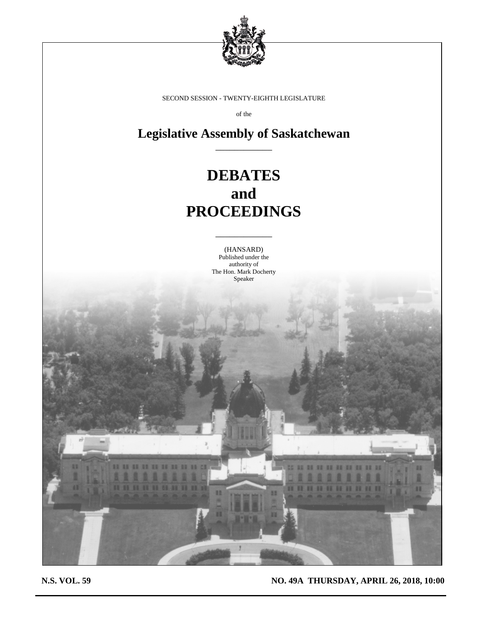

SECOND SESSION - TWENTY-EIGHTH LEGISLATURE

of the

**Legislative Assembly of Saskatchewan** \_\_\_\_\_\_\_\_\_\_\_\_

# **DEBATES and PROCEEDINGS**

(HANSARD) Published under the authority of The Hon. Mark Docherty Speaker

\_\_\_\_\_\_\_\_\_\_\_\_

**N.S. VOL. 59 NO. 49A THURSDAY, APRIL 26, 2018, 10:00**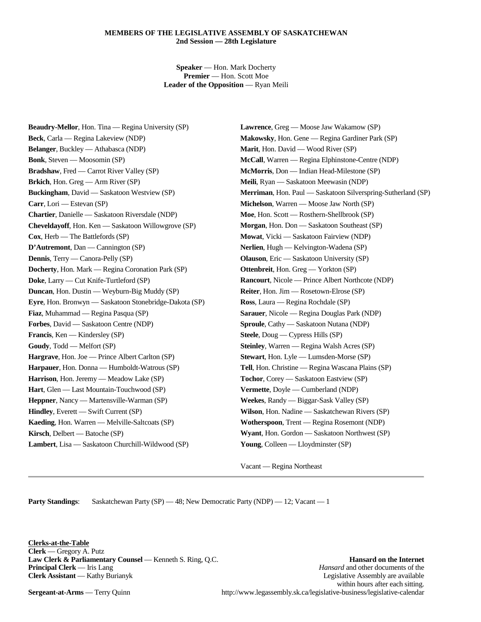## **MEMBERS OF THE LEGISLATIVE ASSEMBLY OF SASKATCHEWAN 2nd Session — 28th Legislature**

**Speaker** — Hon. Mark Docherty **Premier** — Hon. Scott Moe **Leader of the Opposition** — Ryan Meili

**Beaudry-Mellor**, Hon. Tina — Regina University (SP) **Beck**, Carla — Regina Lakeview (NDP) **Belanger**, Buckley — Athabasca (NDP) **Bonk**, Steven — Moosomin (SP) **Bradshaw**, Fred — Carrot River Valley (SP) **Brkich**, Hon. Greg — Arm River (SP) **Buckingham**, David — Saskatoon Westview (SP) **Carr**, Lori — Estevan (SP) **Chartier**, Danielle — Saskatoon Riversdale (NDP) **Cheveldayoff**, Hon. Ken — Saskatoon Willowgrove (SP) **Cox**, Herb — The Battlefords (SP) **D'Autremont**, Dan — Cannington (SP) **Dennis**, Terry — Canora-Pelly (SP) **Docherty**, Hon. Mark — Regina Coronation Park (SP) **Doke**, Larry — Cut Knife-Turtleford (SP) **Duncan**, Hon. Dustin — Weyburn-Big Muddy (SP) **Eyre**, Hon. Bronwyn — Saskatoon Stonebridge-Dakota (SP) **Fiaz**, Muhammad — Regina Pasqua (SP) **Forbes**, David — Saskatoon Centre (NDP) **Francis**, Ken — Kindersley (SP) **Goudy**, Todd — Melfort (SP) **Hargrave**, Hon. Joe — Prince Albert Carlton (SP) **Harpauer**, Hon. Donna — Humboldt-Watrous (SP) **Harrison**, Hon. Jeremy — Meadow Lake (SP) **Hart**, Glen — Last Mountain-Touchwood (SP) **Heppner**, Nancy — Martensville-Warman (SP) **Hindley**, Everett — Swift Current (SP) **Kaeding**, Hon. Warren — Melville-Saltcoats (SP) **Kirsch**, Delbert — Batoche (SP) **Lambert**, Lisa — Saskatoon Churchill-Wildwood (SP)

**Lawrence**, Greg — Moose Jaw Wakamow (SP) **Makowsky**, Hon. Gene — Regina Gardiner Park (SP) **Marit**, Hon. David — Wood River (SP) **McCall**, Warren — Regina Elphinstone-Centre (NDP) **McMorris**, Don — Indian Head-Milestone (SP) **Meili**, Ryan — Saskatoon Meewasin (NDP) **Merriman**, Hon. Paul — Saskatoon Silverspring-Sutherland (SP) **Michelson**, Warren — Moose Jaw North (SP) **Moe**, Hon. Scott — Rosthern-Shellbrook (SP) **Morgan**, Hon. Don — Saskatoon Southeast (SP) **Mowat**, Vicki — Saskatoon Fairview (NDP) **Nerlien**, Hugh — Kelvington-Wadena (SP) **Olauson**, Eric — Saskatoon University (SP) **Ottenbreit**, Hon. Greg — Yorkton (SP) **Rancourt**, Nicole — Prince Albert Northcote (NDP) **Reiter**, Hon. Jim — Rosetown-Elrose (SP) **Ross**, Laura — Regina Rochdale (SP) **Sarauer**, Nicole — Regina Douglas Park (NDP) **Sproule**, Cathy — Saskatoon Nutana (NDP) **Steele**, Doug — Cypress Hills (SP) **Steinley**, Warren — Regina Walsh Acres (SP) **Stewart**, Hon. Lyle — Lumsden-Morse (SP) **Tell**, Hon. Christine — Regina Wascana Plains (SP) **Tochor**, Corey — Saskatoon Eastview (SP) **Vermette**, Doyle — Cumberland (NDP) **Weekes**, Randy — Biggar-Sask Valley (SP) **Wilson**, Hon. Nadine — Saskatchewan Rivers (SP) **Wotherspoon**, Trent — Regina Rosemont (NDP) **Wyant**, Hon. Gordon — Saskatoon Northwest (SP) **Young**, Colleen — Lloydminster (SP)

Vacant — Regina Northeast

**Party Standings:** Saskatchewan Party (SP) — 48; New Democratic Party (NDP) — 12; Vacant — 1

**Clerks-at-the-Table Clerk** — Gregory A. Putz **Law Clerk & Parliamentary Counsel** — Kenneth S. Ring, Q.C. **Hansard on the Internet** 

**Principal Clerk** — Iris Lang *Hansard* and other documents of the **Clerk Assistant** — Kathy Burianyk **Legislative Assembly are available** Legislative Assembly are available within hours after each sitting. **Sergeant-at-Arms** — Terry Quinn http://www.legassembly.sk.ca/legislative-business/legislative-calendar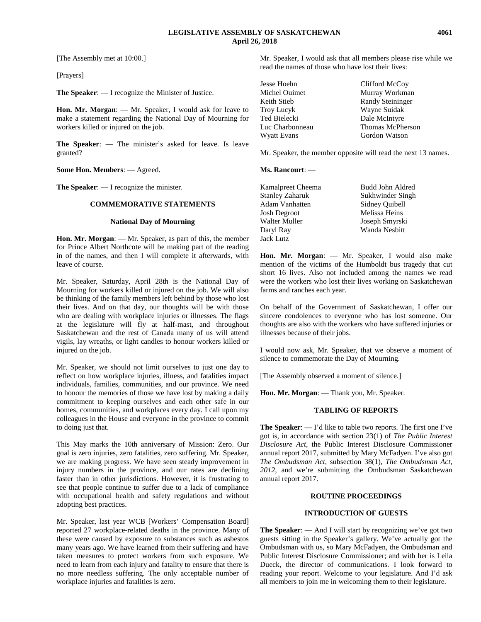[The Assembly met at 10:00.]

[Prayers]

**The Speaker**: — I recognize the Minister of Justice.

**Hon. Mr. Morgan**: — Mr. Speaker, I would ask for leave to make a statement regarding the National Day of Mourning for workers killed or injured on the job.

**The Speaker**: — The minister's asked for leave. Is leave granted?

**Some Hon. Members**: — Agreed.

**The Speaker**: — I recognize the minister.

## **COMMEMORATIVE STATEMENTS**

#### **National Day of Mourning**

**Hon. Mr. Morgan**: — Mr. Speaker, as part of this, the member for Prince Albert Northcote will be making part of the reading in of the names, and then I will complete it afterwards, with leave of course.

Mr. Speaker, Saturday, April 28th is the National Day of Mourning for workers killed or injured on the job. We will also be thinking of the family members left behind by those who lost their lives. And on that day, our thoughts will be with those who are dealing with workplace injuries or illnesses. The flags at the legislature will fly at half-mast, and throughout Saskatchewan and the rest of Canada many of us will attend vigils, lay wreaths, or light candles to honour workers killed or injured on the job.

Mr. Speaker, we should not limit ourselves to just one day to reflect on how workplace injuries, illness, and fatalities impact individuals, families, communities, and our province. We need to honour the memories of those we have lost by making a daily commitment to keeping ourselves and each other safe in our homes, communities, and workplaces every day. I call upon my colleagues in the House and everyone in the province to commit to doing just that.

This May marks the 10th anniversary of Mission: Zero. Our goal is zero injuries, zero fatalities, zero suffering. Mr. Speaker, we are making progress. We have seen steady improvement in injury numbers in the province, and our rates are declining faster than in other jurisdictions. However, it is frustrating to see that people continue to suffer due to a lack of compliance with occupational health and safety regulations and without adopting best practices.

Mr. Speaker, last year WCB [Workers' Compensation Board] reported 27 workplace-related deaths in the province. Many of these were caused by exposure to substances such as asbestos many years ago. We have learned from their suffering and have taken measures to protect workers from such exposure. We need to learn from each injury and fatality to ensure that there is no more needless suffering. The only acceptable number of workplace injuries and fatalities is zero.

Mr. Speaker, I would ask that all members please rise while we read the names of those who have lost their lives:

| Jesse Hoehn     | Clifford McCoy          |
|-----------------|-------------------------|
| Michel Ouimet   | Murray Workman          |
| Keith Stieb     | <b>Randy Steininger</b> |
| Troy Lucyk      | Wayne Suidak            |
| Ted Bielecki    | Dale McIntyre           |
| Luc Charbonneau | Thomas McPherson        |
| Wyatt Evans     | Gordon Watson           |
|                 |                         |

Mr. Speaker, the member opposite will read the next 13 names.

#### **Ms. Rancourt**: —

| Budd John Aldred |
|------------------|
| Sukhwinder Singh |
| Sidney Quibell   |
| Melissa Heins    |
| Joseph Smyrski   |
| Wanda Nesbitt    |
|                  |
|                  |

**Hon. Mr. Morgan**: — Mr. Speaker, I would also make mention of the victims of the Humboldt bus tragedy that cut short 16 lives. Also not included among the names we read were the workers who lost their lives working on Saskatchewan farms and ranches each year.

On behalf of the Government of Saskatchewan, I offer our sincere condolences to everyone who has lost someone. Our thoughts are also with the workers who have suffered injuries or illnesses because of their jobs.

I would now ask, Mr. Speaker, that we observe a moment of silence to commemorate the Day of Mourning.

[The Assembly observed a moment of silence.]

**Hon. Mr. Morgan**: — Thank you, Mr. Speaker.

#### **TABLING OF REPORTS**

**The Speaker**: — I'd like to table two reports. The first one I've got is, in accordance with section 23(1) of *The Public Interest Disclosure Act*, the Public Interest Disclosure Commissioner annual report 2017, submitted by Mary McFadyen. I've also got *The Ombudsman Act*, subsection 38(1), *The Ombudsman Act, 2012*, and we're submitting the Ombudsman Saskatchewan annual report 2017.

#### **ROUTINE PROCEEDINGS**

### **INTRODUCTION OF GUESTS**

**The Speaker**: — And I will start by recognizing we've got two guests sitting in the Speaker's gallery. We've actually got the Ombudsman with us, so Mary McFadyen, the Ombudsman and Public Interest Disclosure Commissioner; and with her is Leila Dueck, the director of communications. I look forward to reading your report. Welcome to your legislature. And I'd ask all members to join me in welcoming them to their legislature.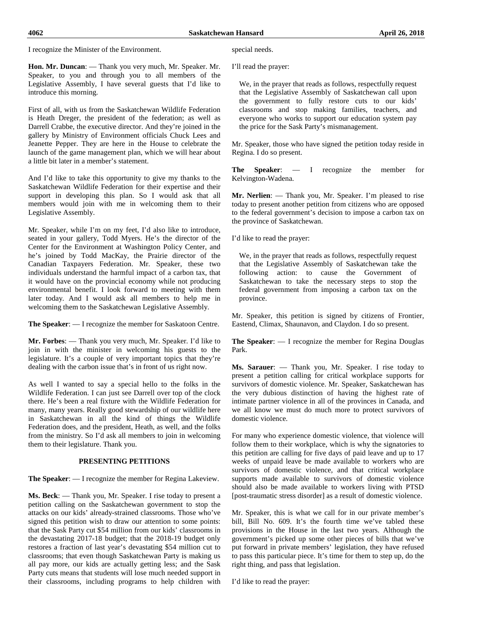I recognize the Minister of the Environment.

**Hon. Mr. Duncan**: — Thank you very much, Mr. Speaker. Mr. Speaker, to you and through you to all members of the Legislative Assembly, I have several guests that I'd like to introduce this morning.

First of all, with us from the Saskatchewan Wildlife Federation is Heath Dreger, the president of the federation; as well as Darrell Crabbe, the executive director. And they're joined in the gallery by Ministry of Environment officials Chuck Lees and Jeanette Pepper. They are here in the House to celebrate the launch of the game management plan, which we will hear about a little bit later in a member's statement.

And I'd like to take this opportunity to give my thanks to the Saskatchewan Wildlife Federation for their expertise and their support in developing this plan. So I would ask that all members would join with me in welcoming them to their Legislative Assembly.

Mr. Speaker, while I'm on my feet, I'd also like to introduce, seated in your gallery, Todd Myers. He's the director of the Center for the Environment at Washington Policy Center, and he's joined by Todd MacKay, the Prairie director of the Canadian Taxpayers Federation. Mr. Speaker, these two individuals understand the harmful impact of a carbon tax, that it would have on the provincial economy while not producing environmental benefit. I look forward to meeting with them later today. And I would ask all members to help me in welcoming them to the Saskatchewan Legislative Assembly.

**The Speaker**: — I recognize the member for Saskatoon Centre.

**Mr. Forbes**: — Thank you very much, Mr. Speaker. I'd like to join in with the minister in welcoming his guests to the legislature. It's a couple of very important topics that they're dealing with the carbon issue that's in front of us right now.

As well I wanted to say a special hello to the folks in the Wildlife Federation. I can just see Darrell over top of the clock there. He's been a real fixture with the Wildlife Federation for many, many years. Really good stewardship of our wildlife here in Saskatchewan in all the kind of things the Wildlife Federation does, and the president, Heath, as well, and the folks from the ministry. So I'd ask all members to join in welcoming them to their legislature. Thank you.

## **PRESENTING PETITIONS**

**The Speaker**: — I recognize the member for Regina Lakeview.

**Ms. Beck**: — Thank you, Mr. Speaker. I rise today to present a petition calling on the Saskatchewan government to stop the attacks on our kids' already-strained classrooms. Those who've signed this petition wish to draw our attention to some points: that the Sask Party cut \$54 million from our kids' classrooms in the devastating 2017-18 budget; that the 2018-19 budget only restores a fraction of last year's devastating \$54 million cut to classrooms; that even though Saskatchewan Party is making us all pay more, our kids are actually getting less; and the Sask Party cuts means that students will lose much needed support in their classrooms, including programs to help children with special needs.

I'll read the prayer:

We, in the prayer that reads as follows, respectfully request that the Legislative Assembly of Saskatchewan call upon the government to fully restore cuts to our kids' classrooms and stop making families, teachers, and everyone who works to support our education system pay the price for the Sask Party's mismanagement.

Mr. Speaker, those who have signed the petition today reside in Regina. I do so present.

**The Speaker**: — I recognize the member for Kelvington-Wadena.

**Mr. Nerlien**: — Thank you, Mr. Speaker. I'm pleased to rise today to present another petition from citizens who are opposed to the federal government's decision to impose a carbon tax on the province of Saskatchewan.

I'd like to read the prayer:

We, in the prayer that reads as follows, respectfully request that the Legislative Assembly of Saskatchewan take the following action: to cause the Government of Saskatchewan to take the necessary steps to stop the federal government from imposing a carbon tax on the province.

Mr. Speaker, this petition is signed by citizens of Frontier, Eastend, Climax, Shaunavon, and Claydon. I do so present.

**The Speaker**: — I recognize the member for Regina Douglas Park.

**Ms. Sarauer**: — Thank you, Mr. Speaker. I rise today to present a petition calling for critical workplace supports for survivors of domestic violence. Mr. Speaker, Saskatchewan has the very dubious distinction of having the highest rate of intimate partner violence in all of the provinces in Canada, and we all know we must do much more to protect survivors of domestic violence.

For many who experience domestic violence, that violence will follow them to their workplace, which is why the signatories to this petition are calling for five days of paid leave and up to 17 weeks of unpaid leave be made available to workers who are survivors of domestic violence, and that critical workplace supports made available to survivors of domestic violence should also be made available to workers living with PTSD [post-traumatic stress disorder] as a result of domestic violence.

Mr. Speaker, this is what we call for in our private member's bill, Bill No. 609. It's the fourth time we've tabled these provisions in the House in the last two years. Although the government's picked up some other pieces of bills that we've put forward in private members' legislation, they have refused to pass this particular piece. It's time for them to step up, do the right thing, and pass that legislation.

I'd like to read the prayer: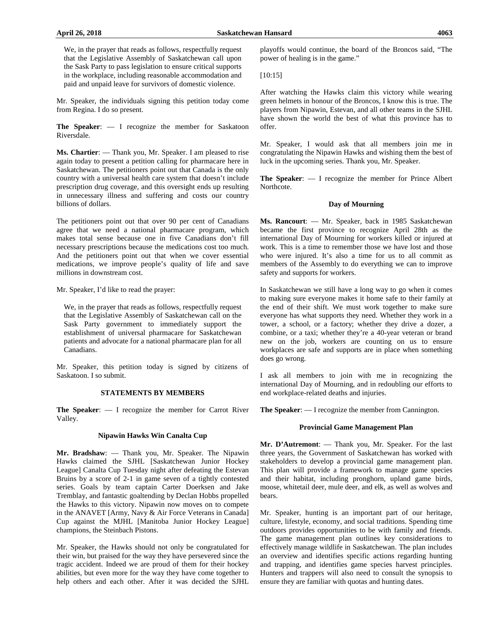We, in the prayer that reads as follows, respectfully request that the Legislative Assembly of Saskatchewan call upon the Sask Party to pass legislation to ensure critical supports in the workplace, including reasonable accommodation and paid and unpaid leave for survivors of domestic violence.

Mr. Speaker, the individuals signing this petition today come from Regina. I do so present.

**The Speaker**: — I recognize the member for Saskatoon Riversdale.

**Ms. Chartier**: — Thank you, Mr. Speaker. I am pleased to rise again today to present a petition calling for pharmacare here in Saskatchewan. The petitioners point out that Canada is the only country with a universal health care system that doesn't include prescription drug coverage, and this oversight ends up resulting in unnecessary illness and suffering and costs our country billions of dollars.

The petitioners point out that over 90 per cent of Canadians agree that we need a national pharmacare program, which makes total sense because one in five Canadians don't fill necessary prescriptions because the medications cost too much. And the petitioners point out that when we cover essential medications, we improve people's quality of life and save millions in downstream cost.

Mr. Speaker, I'd like to read the prayer:

We, in the prayer that reads as follows, respectfully request that the Legislative Assembly of Saskatchewan call on the Sask Party government to immediately support the establishment of universal pharmacare for Saskatchewan patients and advocate for a national pharmacare plan for all Canadians.

Mr. Speaker, this petition today is signed by citizens of Saskatoon. I so submit.

## **STATEMENTS BY MEMBERS**

**The Speaker**: — I recognize the member for Carrot River Valley.

#### **Nipawin Hawks Win Canalta Cup**

**Mr. Bradshaw**: — Thank you, Mr. Speaker. The Nipawin Hawks claimed the SJHL [Saskatchewan Junior Hockey League] Canalta Cup Tuesday night after defeating the Estevan Bruins by a score of 2-1 in game seven of a tightly contested series. Goals by team captain Carter Doerksen and Jake Tremblay, and fantastic goaltending by Declan Hobbs propelled the Hawks to this victory. Nipawin now moves on to compete in the ANAVET [Army, Navy & Air Force Veterans in Canada] Cup against the MJHL [Manitoba Junior Hockey League] champions, the Steinbach Pistons.

Mr. Speaker, the Hawks should not only be congratulated for their win, but praised for the way they have persevered since the tragic accident. Indeed we are proud of them for their hockey abilities, but even more for the way they have come together to help others and each other. After it was decided the SJHL playoffs would continue, the board of the Broncos said, "The power of healing is in the game."

[10:15]

After watching the Hawks claim this victory while wearing green helmets in honour of the Broncos, I know this is true. The players from Nipawin, Estevan, and all other teams in the SJHL have shown the world the best of what this province has to offer.

Mr. Speaker, I would ask that all members join me in congratulating the Nipawin Hawks and wishing them the best of luck in the upcoming series. Thank you, Mr. Speaker.

**The Speaker**: — I recognize the member for Prince Albert Northcote.

#### **Day of Mourning**

**Ms. Rancourt**: — Mr. Speaker, back in 1985 Saskatchewan became the first province to recognize April 28th as the international Day of Mourning for workers killed or injured at work. This is a time to remember those we have lost and those who were injured. It's also a time for us to all commit as members of the Assembly to do everything we can to improve safety and supports for workers.

In Saskatchewan we still have a long way to go when it comes to making sure everyone makes it home safe to their family at the end of their shift. We must work together to make sure everyone has what supports they need. Whether they work in a tower, a school, or a factory; whether they drive a dozer, a combine, or a taxi; whether they're a 40-year veteran or brand new on the job, workers are counting on us to ensure workplaces are safe and supports are in place when something does go wrong.

I ask all members to join with me in recognizing the international Day of Mourning, and in redoubling our efforts to end workplace-related deaths and injuries.

**The Speaker**: — I recognize the member from Cannington.

#### **Provincial Game Management Plan**

**Mr. D'Autremont**: — Thank you, Mr. Speaker. For the last three years, the Government of Saskatchewan has worked with stakeholders to develop a provincial game management plan. This plan will provide a framework to manage game species and their habitat, including pronghorn, upland game birds, moose, whitetail deer, mule deer, and elk, as well as wolves and bears.

Mr. Speaker, hunting is an important part of our heritage, culture, lifestyle, economy, and social traditions. Spending time outdoors provides opportunities to be with family and friends. The game management plan outlines key considerations to effectively manage wildlife in Saskatchewan. The plan includes an overview and identifies specific actions regarding hunting and trapping, and identifies game species harvest principles. Hunters and trappers will also need to consult the synopsis to ensure they are familiar with quotas and hunting dates.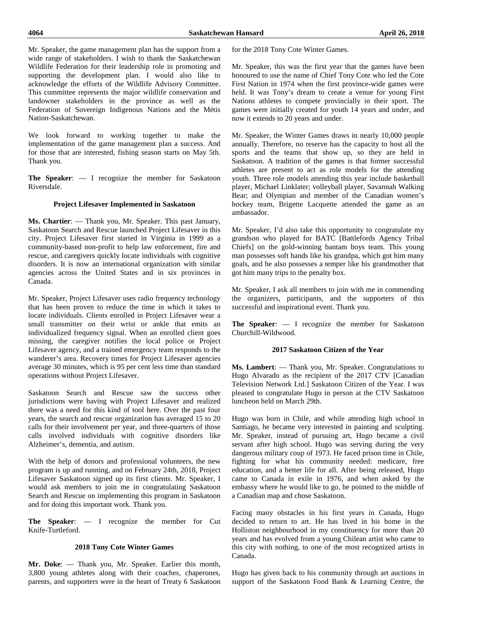Mr. Speaker, the game management plan has the support from a wide range of stakeholders. I wish to thank the Saskatchewan Wildlife Federation for their leadership role in promoting and supporting the development plan. I would also like to acknowledge the efforts of the Wildlife Advisory Committee. This committee represents the major wildlife conservation and landowner stakeholders in the province as well as the Federation of Sovereign Indigenous Nations and the Métis Nation-Saskatchewan.

We look forward to working together to make the implementation of the game management plan a success. And for those that are interested, fishing season starts on May 5th. Thank you.

**The Speaker**: — I recognize the member for Saskatoon Riversdale.

#### **Project Lifesaver Implemented in Saskatoon**

**Ms. Chartier**: — Thank you, Mr. Speaker. This past January, Saskatoon Search and Rescue launched Project Lifesaver in this city. Project Lifesaver first started in Virginia in 1999 as a community-based non-profit to help law enforcement, fire and rescue, and caregivers quickly locate individuals with cognitive disorders. It is now an international organization with similar agencies across the United States and in six provinces in Canada.

Mr. Speaker, Project Lifesaver uses radio frequency technology that has been proven to reduce the time in which it takes to locate individuals. Clients enrolled in Project Lifesaver wear a small transmitter on their wrist or ankle that emits an individualized frequency signal. When an enrolled client goes missing, the caregiver notifies the local police or Project Lifesaver agency, and a trained emergency team responds to the wanderer's area. Recovery times for Project Lifesaver agencies average 30 minutes, which is 95 per cent less time than standard operations without Project Lifesaver.

Saskatoon Search and Rescue saw the success other jurisdictions were having with Project Lifesaver and realized there was a need for this kind of tool here. Over the past four years, the search and rescue organization has averaged 15 to 20 calls for their involvement per year, and three-quarters of those calls involved individuals with cognitive disorders like Alzheimer's, dementia, and autism.

With the help of donors and professional volunteers, the new program is up and running, and on February 24th, 2018, Project Lifesaver Saskatoon signed up its first clients. Mr. Speaker, I would ask members to join me in congratulating Saskatoon Search and Rescue on implementing this program in Saskatoon and for doing this important work. Thank you.

**The Speaker**: — I recognize the member for Cut Knife-Turtleford.

#### **2018 Tony Cote Winter Games**

**Mr. Doke**: — Thank you, Mr. Speaker. Earlier this month, 3,800 young athletes along with their coaches, chaperones, parents, and supporters were in the heart of Treaty 6 Saskatoon for the 2018 Tony Cote Winter Games.

Mr. Speaker, this was the first year that the games have been honoured to use the name of Chief Tony Cote who led the Cote First Nation in 1974 when the first province-wide games were held. It was Tony's dream to create a venue for young First Nations athletes to compete provincially in their sport. The games were initially created for youth 14 years and under, and now it extends to 20 years and under.

Mr. Speaker, the Winter Games draws in nearly 10,000 people annually. Therefore, no reserve has the capacity to host all the sports and the teams that show up, so they are held in Saskatoon. A tradition of the games is that former successful athletes are present to act as role models for the attending youth. Three role models attending this year include basketball player, Michael Linklater; volleyball player, Savannah Walking Bear; and Olympian and member of the Canadian women's hockey team, Brigette Lacquette attended the game as an ambassador.

Mr. Speaker, I'd also take this opportunity to congratulate my grandson who played for BATC [Battlefords Agency Tribal Chiefs] on the gold-winning bantam boys team. This young man possesses soft hands like his grandpa, which got him many goals, and he also possesses a temper like his grandmother that got him many trips to the penalty box.

Mr. Speaker, I ask all members to join with me in commending the organizers, participants, and the supporters of this successful and inspirational event. Thank you.

**The Speaker**: — I recognize the member for Saskatoon Churchill-Wildwood.

#### **2017 Saskatoon Citizen of the Year**

**Ms. Lambert**: — Thank you, Mr. Speaker. Congratulations to Hugo Alvarado as the recipient of the 2017 CTV [Canadian Television Network Ltd.] Saskatoon Citizen of the Year. I was pleased to congratulate Hugo in person at the CTV Saskatoon luncheon held on March 29th.

Hugo was born in Chile, and while attending high school in Santiago, he became very interested in painting and sculpting. Mr. Speaker, instead of pursuing art, Hugo became a civil servant after high school. Hugo was serving during the very dangerous military coup of 1973. He faced prison time in Chile, fighting for what his community needed: medicare, free education, and a better life for all. After being released, Hugo came to Canada in exile in 1976, and when asked by the embassy where he would like to go, he pointed to the middle of a Canadian map and chose Saskatoon.

Facing many obstacles in his first years in Canada, Hugo decided to return to art. He has lived in his home in the Holliston neighbourhood in my constituency for more than 20 years and has evolved from a young Chilean artist who came to this city with nothing, to one of the most recognized artists in Canada.

Hugo has given back to his community through art auctions in support of the Saskatoon Food Bank & Learning Centre, the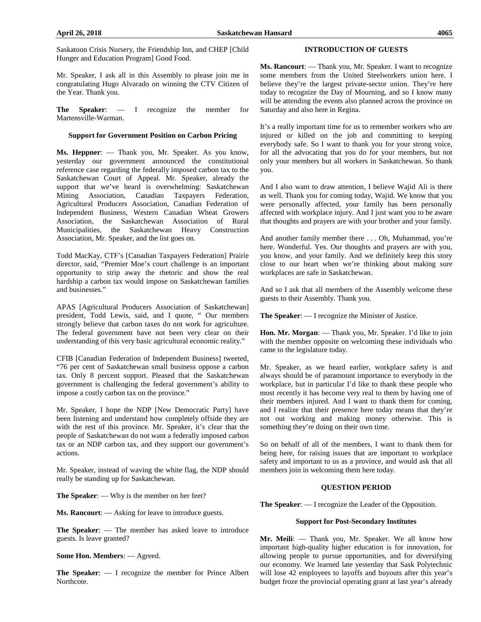Saskatoon Crisis Nursery, the Friendship Inn, and CHEP [Child Hunger and Education Program] Good Food.

Mr. Speaker, I ask all in this Assembly to please join me in congratulating Hugo Alvarado on winning the CTV Citizen of the Year. Thank you.

**The Speaker**: — I recognize the member for Martensville-Warman.

#### **Support for Government Position on Carbon Pricing**

**Ms. Heppner**: — Thank you, Mr. Speaker. As you know, yesterday our government announced the constitutional reference case regarding the federally imposed carbon tax to the Saskatchewan Court of Appeal. Mr. Speaker, already the support that we've heard is overwhelming: Saskatchewan Mining Association, Canadian Taxpayers Federation, Agricultural Producers Association, Canadian Federation of Independent Business, Western Canadian Wheat Growers Association, the Saskatchewan Association of Rural Municipalities, the Saskatchewan Heavy Construction Association, Mr. Speaker, and the list goes on.

Todd MacKay, CTF's [Canadian Taxpayers Federation] Prairie director, said, "Premier Moe's court challenge is an important opportunity to strip away the rhetoric and show the real hardship a carbon tax would impose on Saskatchewan families and businesses."

APAS [Agricultural Producers Association of Saskatchewan] president, Todd Lewis, said, and I quote, " Our members strongly believe that carbon taxes do not work for agriculture. The federal government have not been very clear on their understanding of this very basic agricultural economic reality."

CFIB [Canadian Federation of Independent Business] tweeted, "76 per cent of Saskatchewan small business oppose a carbon tax. Only 8 percent support. Pleased that the Saskatchewan government is challenging the federal government's ability to impose a costly carbon tax on the province."

Mr. Speaker, I hope the NDP [New Democratic Party] have been listening and understand how completely offside they are with the rest of this province. Mr. Speaker, it's clear that the people of Saskatchewan do not want a federally imposed carbon tax or an NDP carbon tax, and they support our government's actions.

Mr. Speaker, instead of waving the white flag, the NDP should really be standing up for Saskatchewan.

**The Speaker**: — Why is the member on her feet?

**Ms. Rancourt**: — Asking for leave to introduce guests.

**The Speaker**: — The member has asked leave to introduce guests. Is leave granted?

## **Some Hon. Members**: — Agreed.

**The Speaker**: — I recognize the member for Prince Albert Northcote.

#### **INTRODUCTION OF GUESTS**

**Ms. Rancourt**: — Thank you, Mr. Speaker. I want to recognize some members from the United Steelworkers union here. I believe they're the largest private-sector union. They're here today to recognize the Day of Mourning, and so I know many will be attending the events also planned across the province on Saturday and also here in Regina.

It's a really important time for us to remember workers who are injured or killed on the job and committing to keeping everybody safe. So I want to thank you for your strong voice, for all the advocating that you do for your members, but not only your members but all workers in Saskatchewan. So thank you.

And I also want to draw attention, I believe Wajid Ali is there as well. Thank you for coming today, Wajid. We know that you were personally affected, your family has been personally affected with workplace injury. And I just want you to be aware that thoughts and prayers are with your brother and your family.

And another family member there . . . Oh, Muhammad, you're here. Wonderful. Yes. Our thoughts and prayers are with you, you know, and your family. And we definitely keep this story close to our heart when we're thinking about making sure workplaces are safe in Saskatchewan.

And so I ask that all members of the Assembly welcome these guests to their Assembly. Thank you.

**The Speaker**: — I recognize the Minister of Justice.

**Hon. Mr. Morgan**: — Thank you, Mr. Speaker. I'd like to join with the member opposite on welcoming these individuals who came to the legislature today.

Mr. Speaker, as we heard earlier, workplace safety is and always should be of paramount importance to everybody in the workplace, but in particular I'd like to thank these people who most recently it has become very real to them by having one of their members injured. And I want to thank them for coming, and I realize that their presence here today means that they're not out working and making money otherwise. This is something they're doing on their own time.

So on behalf of all of the members, I want to thank them for being here, for raising issues that are important to workplace safety and important to us as a province, and would ask that all members join in welcoming them here today.

#### **QUESTION PERIOD**

**The Speaker**: — I recognize the Leader of the Opposition.

#### **Support for Post-Secondary Institutes**

**Mr. Meili**: — Thank you, Mr. Speaker. We all know how important high-quality higher education is for innovation, for allowing people to pursue opportunities, and for diversifying our economy. We learned late yesterday that Sask Polytechnic will lose 42 employees to layoffs and buyouts after this year's budget froze the provincial operating grant at last year's already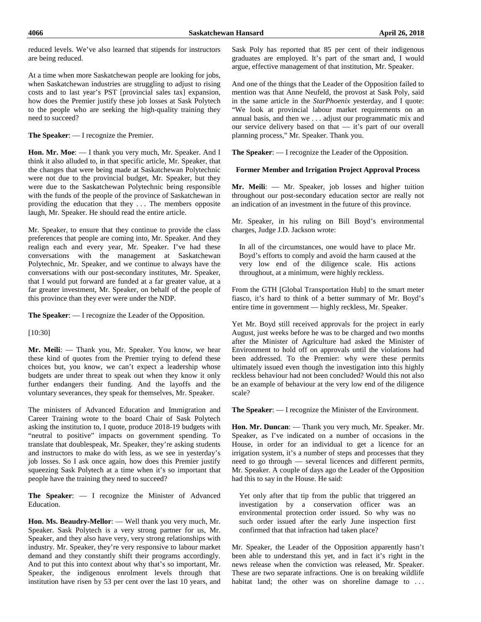reduced levels. We've also learned that stipends for instructors are being reduced.

At a time when more Saskatchewan people are looking for jobs, when Saskatchewan industries are struggling to adjust to rising costs and to last year's PST [provincial sales tax] expansion, how does the Premier justify these job losses at Sask Polytech to the people who are seeking the high-quality training they need to succeed?

**The Speaker**: — I recognize the Premier.

**Hon. Mr. Moe**: — I thank you very much, Mr. Speaker. And I think it also alluded to, in that specific article, Mr. Speaker, that the changes that were being made at Saskatchewan Polytechnic were not due to the provincial budget, Mr. Speaker, but they were due to the Saskatchewan Polytechnic being responsible with the funds of the people of the province of Saskatchewan in providing the education that they . . . The members opposite laugh, Mr. Speaker. He should read the entire article.

Mr. Speaker, to ensure that they continue to provide the class preferences that people are coming into, Mr. Speaker. And they realign each and every year, Mr. Speaker. I've had these conversations with the management at Saskatchewan Polytechnic, Mr. Speaker, and we continue to always have the conversations with our post-secondary institutes, Mr. Speaker, that I would put forward are funded at a far greater value, at a far greater investment, Mr. Speaker, on behalf of the people of this province than they ever were under the NDP.

**The Speaker**: — I recognize the Leader of the Opposition.

[10:30]

**Mr. Meili**: — Thank you, Mr. Speaker. You know, we hear these kind of quotes from the Premier trying to defend these choices but, you know, we can't expect a leadership whose budgets are under threat to speak out when they know it only further endangers their funding. And the layoffs and the voluntary severances, they speak for themselves, Mr. Speaker.

The ministers of Advanced Education and Immigration and Career Training wrote to the board Chair of Sask Polytech asking the institution to, I quote, produce 2018-19 budgets with "neutral to positive" impacts on government spending. To translate that doublespeak, Mr. Speaker, they're asking students and instructors to make do with less, as we see in yesterday's job losses. So I ask once again, how does this Premier justify squeezing Sask Polytech at a time when it's so important that people have the training they need to succeed?

**The Speaker**: — I recognize the Minister of Advanced Education.

**Hon. Ms. Beaudry-Mellor**: — Well thank you very much, Mr. Speaker. Sask Polytech is a very strong partner for us, Mr. Speaker, and they also have very, very strong relationships with industry. Mr. Speaker, they're very responsive to labour market demand and they constantly shift their programs accordingly. And to put this into context about why that's so important, Mr. Speaker, the indigenous enrolment levels through that institution have risen by 53 per cent over the last 10 years, and

Sask Poly has reported that 85 per cent of their indigenous graduates are employed. It's part of the smart and, I would argue, effective management of that institution, Mr. Speaker.

And one of the things that the Leader of the Opposition failed to mention was that Anne Neufeld, the provost at Sask Poly, said in the same article in the *StarPhoenix* yesterday, and I quote: "We look at provincial labour market requirements on an annual basis, and then we . . . adjust our programmatic mix and our service delivery based on that — it's part of our overall planning process," Mr. Speaker. Thank you.

**The Speaker**: — I recognize the Leader of the Opposition.

#### **Former Member and Irrigation Project Approval Process**

**Mr. Meili**: — Mr. Speaker, job losses and higher tuition throughout our post-secondary education sector are really not an indication of an investment in the future of this province.

Mr. Speaker, in his ruling on Bill Boyd's environmental charges, Judge J.D. Jackson wrote:

In all of the circumstances, one would have to place Mr. Boyd's efforts to comply and avoid the harm caused at the very low end of the diligence scale. His actions throughout, at a minimum, were highly reckless.

From the GTH [Global Transportation Hub] to the smart meter fiasco, it's hard to think of a better summary of Mr. Boyd's entire time in government — highly reckless, Mr. Speaker.

Yet Mr. Boyd still received approvals for the project in early August, just weeks before he was to be charged and two months after the Minister of Agriculture had asked the Minister of Environment to hold off on approvals until the violations had been addressed. To the Premier: why were these permits ultimately issued even though the investigation into this highly reckless behaviour had not been concluded? Would this not also be an example of behaviour at the very low end of the diligence scale?

**The Speaker**: — I recognize the Minister of the Environment.

**Hon. Mr. Duncan**: — Thank you very much, Mr. Speaker. Mr. Speaker, as I've indicated on a number of occasions in the House, in order for an individual to get a licence for an irrigation system, it's a number of steps and processes that they need to go through — several licences and different permits, Mr. Speaker. A couple of days ago the Leader of the Opposition had this to say in the House. He said:

Yet only after that tip from the public that triggered an investigation by a conservation officer was an environmental protection order issued. So why was no such order issued after the early June inspection first confirmed that that infraction had taken place?

Mr. Speaker, the Leader of the Opposition apparently hasn't been able to understand this yet, and in fact it's right in the news release when the conviction was released, Mr. Speaker. These are two separate infractions. One is on breaking wildlife habitat land; the other was on shoreline damage to ...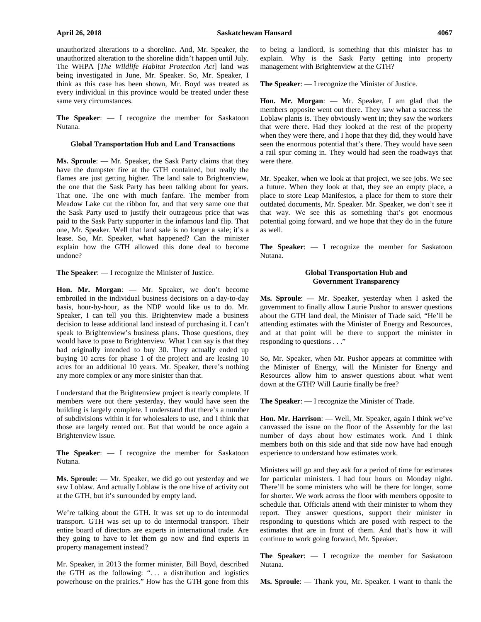unauthorized alterations to a shoreline. And, Mr. Speaker, the unauthorized alteration to the shoreline didn't happen until July. The WHPA [*The Wildlife Habitat Protection Act*] land was being investigated in June, Mr. Speaker. So, Mr. Speaker, I think as this case has been shown, Mr. Boyd was treated as every individual in this province would be treated under these same very circumstances.

**The Speaker**: — I recognize the member for Saskatoon Nutana.

#### **Global Transportation Hub and Land Transactions**

**Ms. Sproule**: — Mr. Speaker, the Sask Party claims that they have the dumpster fire at the GTH contained, but really the flames are just getting higher. The land sale to Brightenview, the one that the Sask Party has been talking about for years. That one. The one with much fanfare. The member from Meadow Lake cut the ribbon for, and that very same one that the Sask Party used to justify their outrageous price that was paid to the Sask Party supporter in the infamous land flip. That one, Mr. Speaker. Well that land sale is no longer a sale; it's a lease. So, Mr. Speaker, what happened? Can the minister explain how the GTH allowed this done deal to become undone?

**The Speaker**: — I recognize the Minister of Justice.

**Hon. Mr. Morgan**: — Mr. Speaker, we don't become embroiled in the individual business decisions on a day-to-day basis, hour-by-hour, as the NDP would like us to do. Mr. Speaker, I can tell you this. Brightenview made a business decision to lease additional land instead of purchasing it. I can't speak to Brightenview's business plans. Those questions, they would have to pose to Brightenview. What I can say is that they had originally intended to buy 30. They actually ended up buying 10 acres for phase 1 of the project and are leasing 10 acres for an additional 10 years. Mr. Speaker, there's nothing any more complex or any more sinister than that.

I understand that the Brightenview project is nearly complete. If members were out there yesterday, they would have seen the building is largely complete. I understand that there's a number of subdivisions within it for wholesalers to use, and I think that those are largely rented out. But that would be once again a Brightenview issue.

**The Speaker**: — I recognize the member for Saskatoon Nutana.

**Ms. Sproule**: — Mr. Speaker, we did go out yesterday and we saw Loblaw. And actually Loblaw is the one hive of activity out at the GTH, but it's surrounded by empty land.

We're talking about the GTH. It was set up to do intermodal transport. GTH was set up to do intermodal transport. Their entire board of directors are experts in international trade. Are they going to have to let them go now and find experts in property management instead?

Mr. Speaker, in 2013 the former minister, Bill Boyd, described the GTH as the following: ". . . a distribution and logistics powerhouse on the prairies." How has the GTH gone from this to being a landlord, is something that this minister has to explain. Why is the Sask Party getting into property management with Brightenview at the GTH?

**The Speaker**: — I recognize the Minister of Justice.

**Hon. Mr. Morgan**: — Mr. Speaker, I am glad that the members opposite went out there. They saw what a success the Loblaw plants is. They obviously went in; they saw the workers that were there. Had they looked at the rest of the property when they were there, and I hope that they did, they would have seen the enormous potential that's there. They would have seen a rail spur coming in. They would had seen the roadways that were there.

Mr. Speaker, when we look at that project, we see jobs. We see a future. When they look at that, they see an empty place, a place to store Leap Manifestos, a place for them to store their outdated documents, Mr. Speaker. Mr. Speaker, we don't see it that way. We see this as something that's got enormous potential going forward, and we hope that they do in the future as well.

**The Speaker**: — I recognize the member for Saskatoon Nutana.

### **Global Transportation Hub and Government Transparency**

**Ms. Sproule**: — Mr. Speaker, yesterday when I asked the government to finally allow Laurie Pushor to answer questions about the GTH land deal, the Minister of Trade said, "He'll be attending estimates with the Minister of Energy and Resources, and at that point will be there to support the minister in responding to questions . . ."

So, Mr. Speaker, when Mr. Pushor appears at committee with the Minister of Energy, will the Minister for Energy and Resources allow him to answer questions about what went down at the GTH? Will Laurie finally be free?

**The Speaker**: — I recognize the Minister of Trade.

**Hon. Mr. Harrison**: — Well, Mr. Speaker, again I think we've canvassed the issue on the floor of the Assembly for the last number of days about how estimates work. And I think members both on this side and that side now have had enough experience to understand how estimates work.

Ministers will go and they ask for a period of time for estimates for particular ministers. I had four hours on Monday night. There'll be some ministers who will be there for longer, some for shorter. We work across the floor with members opposite to schedule that. Officials attend with their minister to whom they report. They answer questions, support their minister in responding to questions which are posed with respect to the estimates that are in front of them. And that's how it will continue to work going forward, Mr. Speaker.

**The Speaker**: — I recognize the member for Saskatoon Nutana.

**Ms. Sproule**: — Thank you, Mr. Speaker. I want to thank the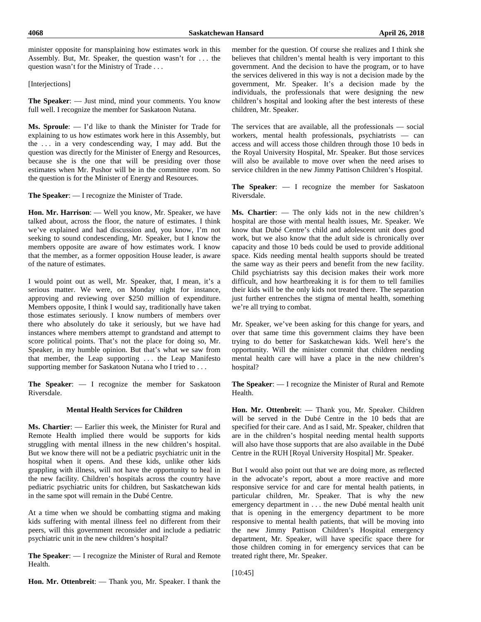**4068 Saskatchewan Hansard April 26, 2018**

minister opposite for mansplaining how estimates work in this Assembly. But, Mr. Speaker, the question wasn't for . . . the question wasn't for the Ministry of Trade . . .

#### [Interjections]

**The Speaker**: — Just mind, mind your comments. You know full well. I recognize the member for Saskatoon Nutana.

**Ms. Sproule**: — I'd like to thank the Minister for Trade for explaining to us how estimates work here in this Assembly, but the . . . in a very condescending way, I may add. But the question was directly for the Minister of Energy and Resources, because she is the one that will be presiding over those estimates when Mr. Pushor will be in the committee room. So the question is for the Minister of Energy and Resources.

**The Speaker**: — I recognize the Minister of Trade.

**Hon. Mr. Harrison**: — Well you know, Mr. Speaker, we have talked about, across the floor, the nature of estimates. I think we've explained and had discussion and, you know, I'm not seeking to sound condescending, Mr. Speaker, but I know the members opposite are aware of how estimates work. I know that the member, as a former opposition House leader, is aware of the nature of estimates.

I would point out as well, Mr. Speaker, that, I mean, it's a serious matter. We were, on Monday night for instance, approving and reviewing over \$250 million of expenditure. Members opposite, I think I would say, traditionally have taken those estimates seriously. I know numbers of members over there who absolutely do take it seriously, but we have had instances where members attempt to grandstand and attempt to score political points. That's not the place for doing so, Mr. Speaker, in my humble opinion. But that's what we saw from that member, the Leap supporting . . . the Leap Manifesto supporting member for Saskatoon Nutana who I tried to . . .

**The Speaker**: — I recognize the member for Saskatoon Riversdale.

## **Mental Health Services for Children**

**Ms. Chartier**: — Earlier this week, the Minister for Rural and Remote Health implied there would be supports for kids struggling with mental illness in the new children's hospital. But we know there will not be a pediatric psychiatric unit in the hospital when it opens. And these kids, unlike other kids grappling with illness, will not have the opportunity to heal in the new facility. Children's hospitals across the country have pediatric psychiatric units for children, but Saskatchewan kids in the same spot will remain in the Dubé Centre.

At a time when we should be combatting stigma and making kids suffering with mental illness feel no different from their peers, will this government reconsider and include a pediatric psychiatric unit in the new children's hospital?

**The Speaker**: — I recognize the Minister of Rural and Remote Health.

member for the question. Of course she realizes and I think she believes that children's mental health is very important to this government. And the decision to have the program, or to have the services delivered in this way is not a decision made by the government, Mr. Speaker. It's a decision made by the individuals, the professionals that were designing the new children's hospital and looking after the best interests of these children, Mr. Speaker.

The services that are available, all the professionals — social workers, mental health professionals, psychiatrists — can access and will access those children through those 10 beds in the Royal University Hospital, Mr. Speaker. But those services will also be available to move over when the need arises to service children in the new Jimmy Pattison Children's Hospital.

**The Speaker**: — I recognize the member for Saskatoon Riversdale.

**Ms. Chartier**: — The only kids not in the new children's hospital are those with mental health issues, Mr. Speaker. We know that Dubé Centre's child and adolescent unit does good work, but we also know that the adult side is chronically over capacity and those 10 beds could be used to provide additional space. Kids needing mental health supports should be treated the same way as their peers and benefit from the new facility. Child psychiatrists say this decision makes their work more difficult, and how heartbreaking it is for them to tell families their kids will be the only kids not treated there. The separation just further entrenches the stigma of mental health, something we're all trying to combat.

Mr. Speaker, we've been asking for this change for years, and over that same time this government claims they have been trying to do better for Saskatchewan kids. Well here's the opportunity. Will the minister commit that children needing mental health care will have a place in the new children's hospital?

**The Speaker**: — I recognize the Minister of Rural and Remote Health.

**Hon. Mr. Ottenbreit**: — Thank you, Mr. Speaker. Children will be served in the Dubé Centre in the 10 beds that are specified for their care. And as I said, Mr. Speaker, children that are in the children's hospital needing mental health supports will also have those supports that are also available in the Dubé Centre in the RUH [Royal University Hospital] Mr. Speaker.

But I would also point out that we are doing more, as reflected in the advocate's report, about a more reactive and more responsive service for and care for mental health patients, in particular children, Mr. Speaker. That is why the new emergency department in . . . the new Dubé mental health unit that is opening in the emergency department to be more responsive to mental health patients, that will be moving into the new Jimmy Pattison Children's Hospital emergency department, Mr. Speaker, will have specific space there for those children coming in for emergency services that can be treated right there, Mr. Speaker.

[10:45]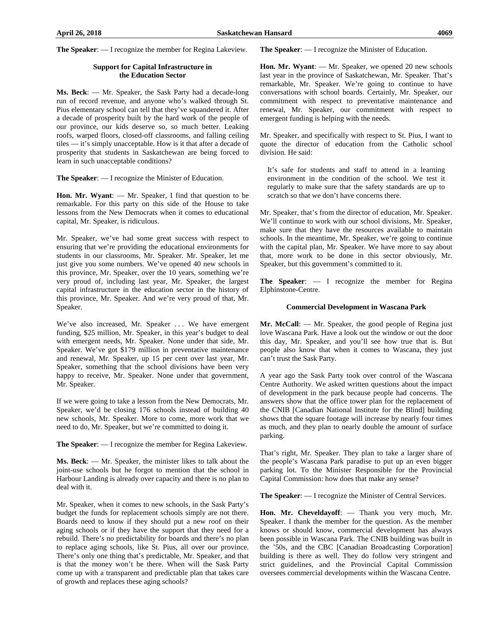#### **Support for Capital Infrastructure in the Education Sector**

**Ms. Beck**: — Mr. Speaker, the Sask Party had a decade-long run of record revenue, and anyone who's walked through St. Pius elementary school can tell that they've squandered it. After a decade of prosperity built by the hard work of the people of our province, our kids deserve so, so much better. Leaking roofs, warped floors, closed-off classrooms, and falling ceiling tiles — it's simply unacceptable. How is it that after a decade of prosperity that students in Saskatchewan are being forced to learn in such unacceptable conditions?

**The Speaker**: — I recognize the Minister of Education.

**Hon. Mr. Wyant**: — Mr. Speaker, I find that question to be remarkable. For this party on this side of the House to take lessons from the New Democrats when it comes to educational capital, Mr. Speaker, is ridiculous.

Mr. Speaker, we've had some great success with respect to ensuring that we're providing the educational environments for students in our classrooms, Mr. Speaker. Mr. Speaker, let me just give you some numbers. We've opened 40 new schools in this province, Mr. Speaker, over the 10 years, something we're very proud of, including last year, Mr. Speaker, the largest capital infrastructure in the education sector in the history of this province, Mr. Speaker. And we're very proud of that, Mr. Speaker.

We've also increased, Mr. Speaker ... We have emergent funding, \$25 million, Mr. Speaker, in this year's budget to deal with emergent needs, Mr. Speaker. None under that side, Mr. Speaker. We've got \$179 million in preventative maintenance and renewal, Mr. Speaker, up 15 per cent over last year, Mr. Speaker, something that the school divisions have been very happy to receive, Mr. Speaker. None under that government, Mr. Speaker.

If we were going to take a lesson from the New Democrats, Mr. Speaker, we'd be closing 176 schools instead of building 40 new schools, Mr. Speaker. More to come, more work that we need to do, Mr. Speaker, but we're committed to doing it.

**The Speaker**: — I recognize the member for Regina Lakeview.

**Ms. Beck**: — Mr. Speaker, the minister likes to talk about the joint-use schools but he forgot to mention that the school in Harbour Landing is already over capacity and there is no plan to deal with it.

Mr. Speaker, when it comes to new schools, in the Sask Party's budget the funds for replacement schools simply are not there. Boards need to know if they should put a new roof on their aging schools or if they have the support that they need for a rebuild. There's no predictability for boards and there's no plan to replace aging schools, like St. Pius, all over our province. There's only one thing that's predictable, Mr. Speaker, and that is that the money won't be there. When will the Sask Party come up with a transparent and predictable plan that takes care of growth and replaces these aging schools?

**The Speaker**: — I recognize the Minister of Education.

**Hon. Mr. Wyant**: — Mr. Speaker, we opened 20 new schools last year in the province of Saskatchewan, Mr. Speaker. That's remarkable, Mr. Speaker. We're going to continue to have conversations with school boards. Certainly, Mr. Speaker, our commitment with respect to preventative maintenance and renewal, Mr. Speaker, our commitment with respect to emergent funding is helping with the needs.

Mr. Speaker, and specifically with respect to St. Pius, I want to quote the director of education from the Catholic school division. He said:

It's safe for students and staff to attend in a learning environment in the condition of the school. We test it regularly to make sure that the safety standards are up to scratch so that we don't have concerns there.

Mr. Speaker, that's from the director of education, Mr. Speaker. We'll continue to work with our school divisions, Mr. Speaker, make sure that they have the resources available to maintain schools. In the meantime, Mr. Speaker, we're going to continue with the capital plan, Mr. Speaker. We have more to say about that, more work to be done in this sector obviously, Mr. Speaker, but this government's committed to it.

**The Speaker**: — I recognize the member for Regina Elphinstone-Centre.

#### **Commercial Development in Wascana Park**

**Mr. McCall**: — Mr. Speaker, the good people of Regina just love Wascana Park. Have a look out the window or out the door this day, Mr. Speaker, and you'll see how true that is. But people also know that when it comes to Wascana, they just can't trust the Sask Party.

A year ago the Sask Party took over control of the Wascana Centre Authority. We asked written questions about the impact of development in the park because people had concerns. The answers show that the office tower plan for the replacement of the CNIB [Canadian National Institute for the Blind] building shows that the square footage will increase by nearly four times as much, and they plan to nearly double the amount of surface parking.

That's right, Mr. Speaker. They plan to take a larger share of the people's Wascana Park paradise to put up an even bigger parking lot. To the Minister Responsible for the Provincial Capital Commission: how does that make any sense?

**The Speaker**: — I recognize the Minister of Central Services.

**Hon. Mr. Cheveldayoff**: — Thank you very much, Mr. Speaker. I thank the member for the question. As the member knows or should know, commercial development has always been possible in Wascana Park. The CNIB building was built in the '50s, and the CBC [Canadian Broadcasting Corporation] building is there as well. They do follow very stringent and strict guidelines, and the Provincial Capital Commission oversees commercial developments within the Wascana Centre.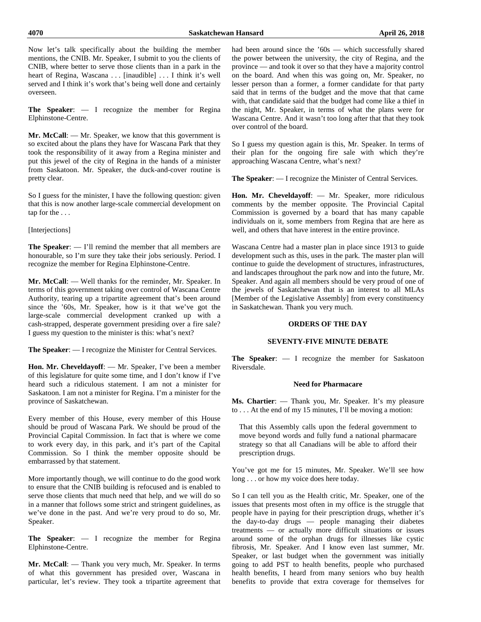Now let's talk specifically about the building the member mentions, the CNIB. Mr. Speaker, I submit to you the clients of CNIB, where better to serve those clients than in a park in the heart of Regina, Wascana . . . [inaudible] . . . I think it's well served and I think it's work that's being well done and certainly overseen.

**The Speaker**: — I recognize the member for Regina Elphinstone-Centre.

**Mr. McCall**: — Mr. Speaker, we know that this government is so excited about the plans they have for Wascana Park that they took the responsibility of it away from a Regina minister and put this jewel of the city of Regina in the hands of a minister from Saskatoon. Mr. Speaker, the duck-and-cover routine is pretty clear.

So I guess for the minister, I have the following question: given that this is now another large-scale commercial development on tap for the . . .

#### [Interjections]

**The Speaker**: — I'll remind the member that all members are honourable, so I'm sure they take their jobs seriously. Period. I recognize the member for Regina Elphinstone-Centre.

**Mr. McCall**: — Well thanks for the reminder, Mr. Speaker. In terms of this government taking over control of Wascana Centre Authority, tearing up a tripartite agreement that's been around since the '60s, Mr. Speaker, how is it that we've got the large-scale commercial development cranked up with a cash-strapped, desperate government presiding over a fire sale? I guess my question to the minister is this: what's next?

**The Speaker**: — I recognize the Minister for Central Services.

**Hon. Mr. Cheveldayoff**: — Mr. Speaker, I've been a member of this legislature for quite some time, and I don't know if I've heard such a ridiculous statement. I am not a minister for Saskatoon. I am not a minister for Regina. I'm a minister for the province of Saskatchewan.

Every member of this House, every member of this House should be proud of Wascana Park. We should be proud of the Provincial Capital Commission. In fact that is where we come to work every day, in this park, and it's part of the Capital Commission. So I think the member opposite should be embarrassed by that statement.

More importantly though, we will continue to do the good work to ensure that the CNIB building is refocused and is enabled to serve those clients that much need that help, and we will do so in a manner that follows some strict and stringent guidelines, as we've done in the past. And we're very proud to do so, Mr. Speaker.

**The Speaker**: — I recognize the member for Regina Elphinstone-Centre.

**Mr. McCall**: — Thank you very much, Mr. Speaker. In terms of what this government has presided over, Wascana in particular, let's review. They took a tripartite agreement that had been around since the '60s — which successfully shared the power between the university, the city of Regina, and the province — and took it over so that they have a majority control on the board. And when this was going on, Mr. Speaker, no lesser person than a former, a former candidate for that party said that in terms of the budget and the move that that came with, that candidate said that the budget had come like a thief in the night, Mr. Speaker, in terms of what the plans were for Wascana Centre. And it wasn't too long after that that they took over control of the board.

So I guess my question again is this, Mr. Speaker. In terms of their plan for the ongoing fire sale with which they're approaching Wascana Centre, what's next?

**The Speaker**: — I recognize the Minister of Central Services.

**Hon. Mr. Cheveldayoff**: — Mr. Speaker, more ridiculous comments by the member opposite. The Provincial Capital Commission is governed by a board that has many capable individuals on it, some members from Regina that are here as well, and others that have interest in the entire province.

Wascana Centre had a master plan in place since 1913 to guide development such as this, uses in the park. The master plan will continue to guide the development of structures, infrastructures, and landscapes throughout the park now and into the future, Mr. Speaker. And again all members should be very proud of one of the jewels of Saskatchewan that is an interest to all MLAs [Member of the Legislative Assembly] from every constituency in Saskatchewan. Thank you very much.

## **ORDERS OF THE DAY**

## **SEVENTY-FIVE MINUTE DEBATE**

**The Speaker**: — I recognize the member for Saskatoon Riversdale.

#### **Need for Pharmacare**

**Ms. Chartier**: — Thank you, Mr. Speaker. It's my pleasure to . . . At the end of my 15 minutes, I'll be moving a motion:

That this Assembly calls upon the federal government to move beyond words and fully fund a national pharmacare strategy so that all Canadians will be able to afford their prescription drugs.

You've got me for 15 minutes, Mr. Speaker. We'll see how long . . . or how my voice does here today.

So I can tell you as the Health critic, Mr. Speaker, one of the issues that presents most often in my office is the struggle that people have in paying for their prescription drugs, whether it's the day-to-day drugs — people managing their diabetes treatments — or actually more difficult situations or issues around some of the orphan drugs for illnesses like cystic fibrosis, Mr. Speaker. And I know even last summer, Mr. Speaker, or last budget when the government was initially going to add PST to health benefits, people who purchased health benefits, I heard from many seniors who buy health benefits to provide that extra coverage for themselves for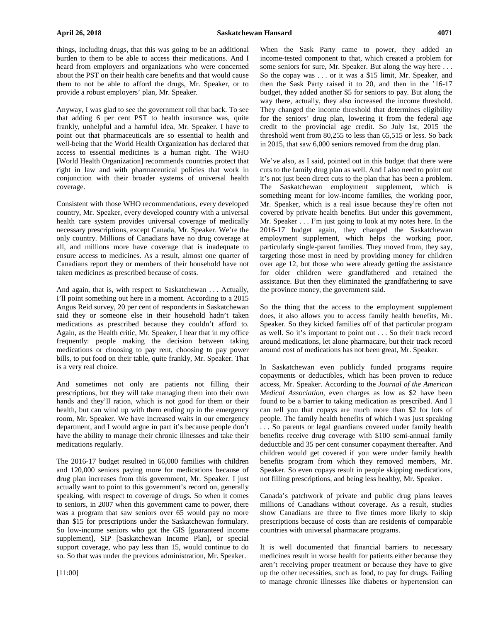things, including drugs, that this was going to be an additional burden to them to be able to access their medications. And I heard from employers and organizations who were concerned about the PST on their health care benefits and that would cause them to not be able to afford the drugs, Mr. Speaker, or to provide a robust employers' plan, Mr. Speaker.

Anyway, I was glad to see the government roll that back. To see that adding 6 per cent PST to health insurance was, quite frankly, unhelpful and a harmful idea, Mr. Speaker. I have to point out that pharmaceuticals are so essential to health and well-being that the World Health Organization has declared that access to essential medicines is a human right. The WHO [World Health Organization] recommends countries protect that right in law and with pharmaceutical policies that work in conjunction with their broader systems of universal health coverage.

Consistent with those WHO recommendations, every developed country, Mr. Speaker, every developed country with a universal health care system provides universal coverage of medically necessary prescriptions, except Canada, Mr. Speaker. We're the only country. Millions of Canadians have no drug coverage at all, and millions more have coverage that is inadequate to ensure access to medicines. As a result, almost one quarter of Canadians report they or members of their household have not taken medicines as prescribed because of costs.

And again, that is, with respect to Saskatchewan . . . Actually, I'll point something out here in a moment. According to a 2015 Angus Reid survey, 20 per cent of respondents in Saskatchewan said they or someone else in their household hadn't taken medications as prescribed because they couldn't afford to. Again, as the Health critic, Mr. Speaker, I hear that in my office frequently: people making the decision between taking medications or choosing to pay rent, choosing to pay power bills, to put food on their table, quite frankly, Mr. Speaker. That is a very real choice.

And sometimes not only are patients not filling their prescriptions, but they will take managing them into their own hands and they'll ration, which is not good for them or their health, but can wind up with them ending up in the emergency room, Mr. Speaker. We have increased waits in our emergency department, and I would argue in part it's because people don't have the ability to manage their chronic illnesses and take their medications regularly.

The 2016-17 budget resulted in 66,000 families with children and 120,000 seniors paying more for medications because of drug plan increases from this government, Mr. Speaker. I just actually want to point to this government's record on, generally speaking, with respect to coverage of drugs. So when it comes to seniors, in 2007 when this government came to power, there was a program that saw seniors over 65 would pay no more than \$15 for prescriptions under the Saskatchewan formulary. So low-income seniors who got the GIS [guaranteed income supplement], SIP [Saskatchewan Income Plan], or special support coverage, who pay less than 15, would continue to do so. So that was under the previous administration, Mr. Speaker.

When the Sask Party came to power, they added an income-tested component to that, which created a problem for some seniors for sure, Mr. Speaker. But along the way here . . . So the copay was . . . or it was a \$15 limit, Mr. Speaker, and then the Sask Party raised it to 20, and then in the '16-17 budget, they added another \$5 for seniors to pay. But along the way there, actually, they also increased the income threshold. They changed the income threshold that determines eligibility for the seniors' drug plan, lowering it from the federal age credit to the provincial age credit. So July 1st, 2015 the threshold went from 80,255 to less than 65,515 or less. So back in 2015, that saw 6,000 seniors removed from the drug plan.

We've also, as I said, pointed out in this budget that there were cuts to the family drug plan as well. And I also need to point out it's not just been direct cuts to the plan that has been a problem. The Saskatchewan employment supplement, which is something meant for low-income families, the working poor, Mr. Speaker, which is a real issue because they're often not covered by private health benefits. But under this government, Mr. Speaker . . . I'm just going to look at my notes here. In the 2016-17 budget again, they changed the Saskatchewan employment supplement, which helps the working poor, particularly single-parent families. They moved from, they say, targeting those most in need by providing money for children over age 12, but those who were already getting the assistance for older children were grandfathered and retained the assistance. But then they eliminated the grandfathering to save the province money, the government said.

So the thing that the access to the employment supplement does, it also allows you to access family health benefits, Mr. Speaker. So they kicked families off of that particular program as well. So it's important to point out . . . So their track record around medications, let alone pharmacare, but their track record around cost of medications has not been great, Mr. Speaker.

In Saskatchewan even publicly funded programs require copayments or deductibles, which has been proven to reduce access, Mr. Speaker. According to the *Journal of the American Medical Association,* even charges as low as \$2 have been found to be a barrier to taking medication as prescribed. And I can tell you that copays are much more than \$2 for lots of people. The family health benefits of which I was just speaking . . . So parents or legal guardians covered under family health benefits receive drug coverage with \$100 semi-annual family deductible and 35 per cent consumer copayment thereafter. And children would get covered if you were under family health benefits program from which they removed members, Mr. Speaker. So even copays result in people skipping medications, not filling prescriptions, and being less healthy, Mr. Speaker.

Canada's patchwork of private and public drug plans leaves millions of Canadians without coverage. As a result, studies show Canadians are three to five times more likely to skip prescriptions because of costs than are residents of comparable countries with universal pharmacare programs.

It is well documented that financial barriers to necessary medicines result in worse health for patients either because they aren't receiving proper treatment or because they have to give up the other necessities, such as food, to pay for drugs. Failing to manage chronic illnesses like diabetes or hypertension can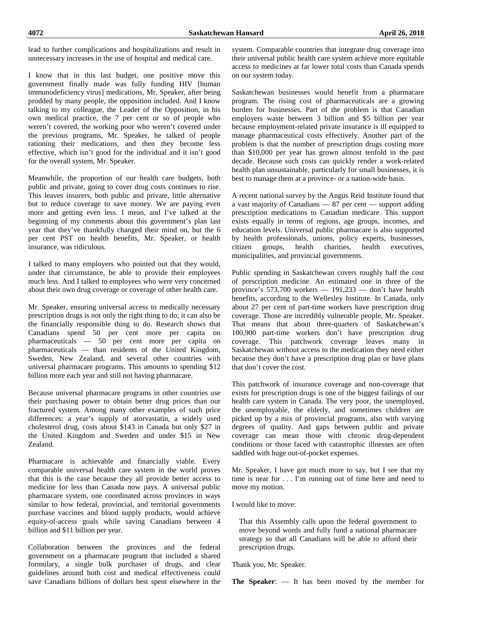lead to further complications and hospitalizations and result in unnecessary increases in the use of hospital and medical care.

I know that in this last budget, one positive move this government finally made was fully funding HIV [human immunodeficiency virus] medications, Mr. Speaker, after being prodded by many people, the opposition included. And I know talking to my colleague, the Leader of the Opposition, in his own medical practice, the 7 per cent or so of people who weren't covered, the working poor who weren't covered under the previous programs, Mr. Speaker, he talked of people rationing their medications, and then they become less effective, which isn't good for the individual and it isn't good for the overall system, Mr. Speaker.

Meanwhile, the proportion of our health care budgets, both public and private, going to cover drug costs continues to rise. This leaves insurers, both public and private, little alternative but to reduce coverage to save money. We are paying even more and getting even less. I mean, and I've talked at the beginning of my comments about this government's plan last year that they've thankfully changed their mind on, but the 6 per cent PST on health benefits, Mr. Speaker, or health insurance, was ridiculous.

I talked to many employers who pointed out that they would, under that circumstance, be able to provide their employees much less. And I talked to employees who were very concerned about their own drug coverage or coverage of other health care.

Mr. Speaker, ensuring universal access to medically necessary prescription drugs is not only the right thing to do; it can also be the financially responsible thing to do. Research shows that Canadians spend 50 per cent more per capita on pharmaceuticals — 50 per cent more per capita on pharmaceuticals — than residents of the United Kingdom, Sweden, New Zealand, and several other countries with universal pharmacare programs. This amounts to spending \$12 billion more each year and still not having pharmacare.

Because universal pharmacare programs in other countries use their purchasing power to obtain better drug prices than our fractured system. Among many other examples of such price differences: a year's supply of atorvastatin, a widely used cholesterol drug, costs about \$143 in Canada but only \$27 in the United Kingdom and Sweden and under \$15 in New Zealand.

Pharmacare is achievable and financially viable. Every comparable universal health care system in the world proves that this is the case because they all provide better access to medicine for less than Canada now pays. A universal public pharmacare system, one coordinated across provinces in ways similar to how federal, provincial, and territorial governments purchase vaccines and blood supply products, would achieve equity-of-access goals while saving Canadians between 4 billion and \$11 billion per year.

Collaboration between the provinces and the federal government on a pharmacare program that included a shared formulary, a single bulk purchaser of drugs, and clear guidelines around both cost and medical effectiveness could save Canadians billions of dollars best spent elsewhere in the system. Comparable countries that integrate drug coverage into their universal public health care system achieve more equitable access to medicines at far lower total costs than Canada spends on our system today.

Saskatchewan businesses would benefit from a pharmacare program. The rising cost of pharmaceuticals are a growing burden for businesses. Part of the problem is that Canadian employers waste between 3 billion and \$5 billion per year because employment-related private insurance is ill equipped to manage pharmaceutical costs effectively. Another part of the problem is that the number of prescription drugs costing more than \$10,000 per year has grown almost tenfold in the past decade. Because such costs can quickly render a work-related health plan unsustainable, particularly for small businesses, it is best to manage them at a province- or a nation-wide basis.

A recent national survey by the Angus Reid Institute found that a vast majority of Canadians — 87 per cent — support adding prescription medications to Canadian medicare. This support exists equally in terms of regions, age groups, incomes, and education levels. Universal public pharmacare is also supported by health professionals, unions, policy experts, businesses, citizen groups, health charities, health executives, municipalities, and provincial governments.

Public spending in Saskatchewan covers roughly half the cost of prescription medicine. An estimated one in three of the province's  $573,700$  workers — 191,233 — don't have health benefits, according to the Wellesley Institute. In Canada, only about 27 per cent of part-time workers have prescription drug coverage. Those are incredibly vulnerable people, Mr. Speaker. That means that about three-quarters of Saskatchewan's 100,900 part-time workers don't have prescription drug coverage. This patchwork coverage leaves many in Saskatchewan without access to the medication they need either because they don't have a prescription drug plan or have plans that don't cover the cost.

This patchwork of insurance coverage and non-coverage that exists for prescription drugs is one of the biggest failings of our health care system in Canada. The very poor, the unemployed, the unemployable, the elderly, and sometimes children are picked up by a mix of provincial programs, also with varying degrees of quality. And gaps between public and private coverage can mean those with chronic drug-dependent conditions or those faced with catastrophic illnesses are often saddled with huge out-of-pocket expenses.

Mr. Speaker, I have got much more to say, but I see that my time is near for . . . I'm running out of time here and need to move my motion.

I would like to move:

That this Assembly calls upon the federal government to move beyond words and fully fund a national pharmacare strategy so that all Canadians will be able to afford their prescription drugs.

Thank you, Mr. Speaker.

**The Speaker**: — It has been moved by the member for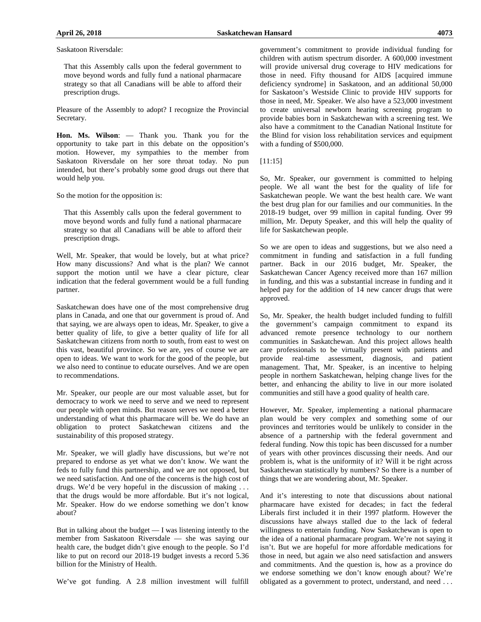Saskatoon Riversdale:

That this Assembly calls upon the federal government to move beyond words and fully fund a national pharmacare strategy so that all Canadians will be able to afford their prescription drugs.

Pleasure of the Assembly to adopt? I recognize the Provincial Secretary.

**Hon. Ms. Wilson**: — Thank you. Thank you for the opportunity to take part in this debate on the opposition's motion. However, my sympathies to the member from Saskatoon Riversdale on her sore throat today. No pun intended, but there's probably some good drugs out there that would help you.

So the motion for the opposition is:

That this Assembly calls upon the federal government to move beyond words and fully fund a national pharmacare strategy so that all Canadians will be able to afford their prescription drugs.

Well, Mr. Speaker, that would be lovely, but at what price? How many discussions? And what is the plan? We cannot support the motion until we have a clear picture, clear indication that the federal government would be a full funding partner.

Saskatchewan does have one of the most comprehensive drug plans in Canada, and one that our government is proud of. And that saying, we are always open to ideas, Mr. Speaker, to give a better quality of life, to give a better quality of life for all Saskatchewan citizens from north to south, from east to west on this vast, beautiful province. So we are, yes of course we are open to ideas. We want to work for the good of the people, but we also need to continue to educate ourselves. And we are open to recommendations.

Mr. Speaker, our people are our most valuable asset, but for democracy to work we need to serve and we need to represent our people with open minds. But reason serves we need a better understanding of what this pharmacare will be. We do have an obligation to protect Saskatchewan citizens and the sustainability of this proposed strategy.

Mr. Speaker, we will gladly have discussions, but we're not prepared to endorse as yet what we don't know. We want the feds to fully fund this partnership, and we are not opposed, but we need satisfaction. And one of the concerns is the high cost of drugs. We'd be very hopeful in the discussion of making . . . that the drugs would be more affordable. But it's not logical, Mr. Speaker. How do we endorse something we don't know about?

But in talking about the budget — I was listening intently to the member from Saskatoon Riversdale — she was saying our health care, the budget didn't give enough to the people. So I'd like to put on record our 2018-19 budget invests a record 5.36 billion for the Ministry of Health.

We've got funding. A 2.8 million investment will fulfill

government's commitment to provide individual funding for children with autism spectrum disorder. A 600,000 investment will provide universal drug coverage to HIV medications for those in need. Fifty thousand for AIDS [acquired immune deficiency syndrome] in Saskatoon, and an additional 50,000 for Saskatoon's Westside Clinic to provide HIV supports for those in need, Mr. Speaker. We also have a 523,000 investment to create universal newborn hearing screening program to provide babies born in Saskatchewan with a screening test. We also have a commitment to the Canadian National Institute for the Blind for vision loss rehabilitation services and equipment with a funding of \$500,000.

[11:15]

So, Mr. Speaker, our government is committed to helping people. We all want the best for the quality of life for Saskatchewan people. We want the best health care. We want the best drug plan for our families and our communities. In the 2018-19 budget, over 99 million in capital funding. Over 99 million, Mr. Deputy Speaker, and this will help the quality of life for Saskatchewan people.

So we are open to ideas and suggestions, but we also need a commitment in funding and satisfaction in a full funding partner. Back in our 2016 budget, Mr. Speaker, the Saskatchewan Cancer Agency received more than 167 million in funding, and this was a substantial increase in funding and it helped pay for the addition of 14 new cancer drugs that were approved.

So, Mr. Speaker, the health budget included funding to fulfill the government's campaign commitment to expand its advanced remote presence technology to our northern communities in Saskatchewan. And this project allows health care professionals to be virtually present with patients and provide real-time assessment, diagnosis, and patient management. That, Mr. Speaker, is an incentive to helping people in northern Saskatchewan, helping change lives for the better, and enhancing the ability to live in our more isolated communities and still have a good quality of health care.

However, Mr. Speaker, implementing a national pharmacare plan would be very complex and something some of our provinces and territories would be unlikely to consider in the absence of a partnership with the federal government and federal funding. Now this topic has been discussed for a number of years with other provinces discussing their needs. And our problem is, what is the uniformity of it? Will it be right across Saskatchewan statistically by numbers? So there is a number of things that we are wondering about, Mr. Speaker.

And it's interesting to note that discussions about national pharmacare have existed for decades; in fact the federal Liberals first included it in their 1997 platform. However the discussions have always stalled due to the lack of federal willingness to entertain funding. Now Saskatchewan is open to the idea of a national pharmacare program. We're not saying it isn't. But we are hopeful for more affordable medications for those in need, but again we also need satisfaction and answers and commitments. And the question is, how as a province do we endorse something we don't know enough about? We're obligated as a government to protect, understand, and need . . .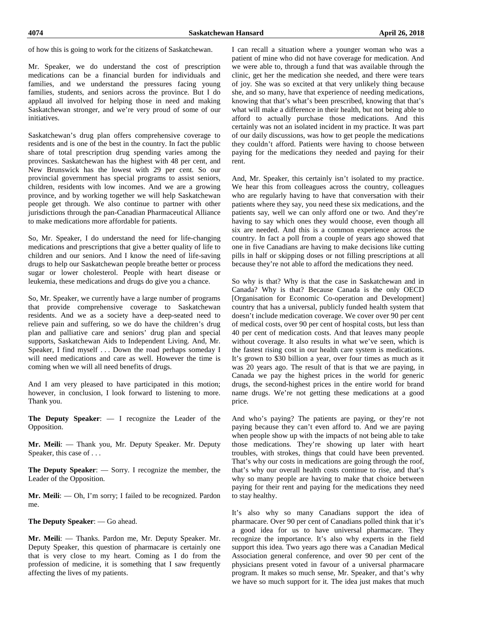of how this is going to work for the citizens of Saskatchewan.

Mr. Speaker, we do understand the cost of prescription medications can be a financial burden for individuals and families, and we understand the pressures facing young families, students, and seniors across the province. But I do applaud all involved for helping those in need and making Saskatchewan stronger, and we're very proud of some of our initiatives.

Saskatchewan's drug plan offers comprehensive coverage to residents and is one of the best in the country. In fact the public share of total prescription drug spending varies among the provinces. Saskatchewan has the highest with 48 per cent, and New Brunswick has the lowest with 29 per cent. So our provincial government has special programs to assist seniors, children, residents with low incomes. And we are a growing province, and by working together we will help Saskatchewan people get through. We also continue to partner with other jurisdictions through the pan-Canadian Pharmaceutical Alliance to make medications more affordable for patients.

So, Mr. Speaker, I do understand the need for life-changing medications and prescriptions that give a better quality of life to children and our seniors. And I know the need of life-saving drugs to help our Saskatchewan people breathe better or process sugar or lower cholesterol. People with heart disease or leukemia, these medications and drugs do give you a chance.

So, Mr. Speaker, we currently have a large number of programs that provide comprehensive coverage to Saskatchewan residents. And we as a society have a deep-seated need to relieve pain and suffering, so we do have the children's drug plan and palliative care and seniors' drug plan and special supports, Saskatchewan Aids to Independent Living. And, Mr. Speaker, I find myself . . . Down the road perhaps someday I will need medications and care as well. However the time is coming when we will all need benefits of drugs.

And I am very pleased to have participated in this motion; however, in conclusion, I look forward to listening to more. Thank you.

**The Deputy Speaker**: — I recognize the Leader of the Opposition.

**Mr. Meili**: — Thank you, Mr. Deputy Speaker. Mr. Deputy Speaker, this case of . . .

**The Deputy Speaker**: — Sorry. I recognize the member, the Leader of the Opposition.

**Mr. Meili**: — Oh, I'm sorry; I failed to be recognized. Pardon me.

**The Deputy Speaker**: — Go ahead.

**Mr. Meili**: — Thanks. Pardon me, Mr. Deputy Speaker. Mr. Deputy Speaker, this question of pharmacare is certainly one that is very close to my heart. Coming as I do from the profession of medicine, it is something that I saw frequently affecting the lives of my patients.

I can recall a situation where a younger woman who was a patient of mine who did not have coverage for medication. And we were able to, through a fund that was available through the clinic, get her the medication she needed, and there were tears of joy. She was so excited at that very unlikely thing because she, and so many, have that experience of needing medications, knowing that that's what's been prescribed, knowing that that's what will make a difference in their health, but not being able to afford to actually purchase those medications. And this certainly was not an isolated incident in my practice. It was part of our daily discussions, was how to get people the medications they couldn't afford. Patients were having to choose between paying for the medications they needed and paying for their rent.

And, Mr. Speaker, this certainly isn't isolated to my practice. We hear this from colleagues across the country, colleagues who are regularly having to have that conversation with their patients where they say, you need these six medications, and the patients say, well we can only afford one or two. And they're having to say which ones they would choose, even though all six are needed. And this is a common experience across the country. In fact a poll from a couple of years ago showed that one in five Canadians are having to make decisions like cutting pills in half or skipping doses or not filling prescriptions at all because they're not able to afford the medications they need.

So why is that? Why is that the case in Saskatchewan and in Canada? Why is that? Because Canada is the only OECD [Organisation for Economic Co-operation and Development] country that has a universal, publicly funded health system that doesn't include medication coverage. We cover over 90 per cent of medical costs, over 90 per cent of hospital costs, but less than 40 per cent of medication costs. And that leaves many people without coverage. It also results in what we've seen, which is the fastest rising cost in our health care system is medications. It's grown to \$30 billion a year, over four times as much as it was 20 years ago. The result of that is that we are paying, in Canada we pay the highest prices in the world for generic drugs, the second-highest prices in the entire world for brand name drugs. We're not getting these medications at a good price.

And who's paying? The patients are paying, or they're not paying because they can't even afford to. And we are paying when people show up with the impacts of not being able to take those medications. They're showing up later with heart troubles, with strokes, things that could have been prevented. That's why our costs in medications are going through the roof, that's why our overall health costs continue to rise, and that's why so many people are having to make that choice between paying for their rent and paying for the medications they need to stay healthy.

It's also why so many Canadians support the idea of pharmacare. Over 90 per cent of Canadians polled think that it's a good idea for us to have universal pharmacare. They recognize the importance. It's also why experts in the field support this idea. Two years ago there was a Canadian Medical Association general conference, and over 90 per cent of the physicians present voted in favour of a universal pharmacare program. It makes so much sense, Mr. Speaker, and that's why we have so much support for it. The idea just makes that much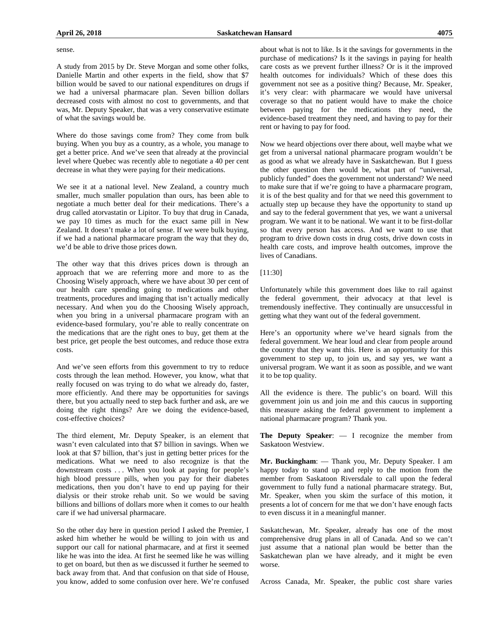#### sense.

A study from 2015 by Dr. Steve Morgan and some other folks, Danielle Martin and other experts in the field, show that \$7 billion would be saved to our national expenditures on drugs if we had a universal pharmacare plan. Seven billion dollars decreased costs with almost no cost to governments, and that was, Mr. Deputy Speaker, that was a very conservative estimate of what the savings would be.

Where do those savings come from? They come from bulk buying. When you buy as a country, as a whole, you manage to get a better price. And we've seen that already at the provincial level where Quebec was recently able to negotiate a 40 per cent decrease in what they were paying for their medications.

We see it at a national level. New Zealand, a country much smaller, much smaller population than ours, has been able to negotiate a much better deal for their medications. There's a drug called atorvastatin or Lipitor. To buy that drug in Canada, we pay 10 times as much for the exact same pill in New Zealand. It doesn't make a lot of sense. If we were bulk buying, if we had a national pharmacare program the way that they do, we'd be able to drive those prices down.

The other way that this drives prices down is through an approach that we are referring more and more to as the Choosing Wisely approach, where we have about 30 per cent of our health care spending going to medications and other treatments, procedures and imaging that isn't actually medically necessary. And when you do the Choosing Wisely approach, when you bring in a universal pharmacare program with an evidence-based formulary, you're able to really concentrate on the medications that are the right ones to buy, get them at the best price, get people the best outcomes, and reduce those extra costs.

And we've seen efforts from this government to try to reduce costs through the lean method. However, you know, what that really focused on was trying to do what we already do, faster, more efficiently. And there may be opportunities for savings there, but you actually need to step back further and ask, are we doing the right things? Are we doing the evidence-based, cost-effective choices?

The third element, Mr. Deputy Speaker, is an element that wasn't even calculated into that \$7 billion in savings. When we look at that \$7 billion, that's just in getting better prices for the medications. What we need to also recognize is that the downstream costs . . . When you look at paying for people's high blood pressure pills, when you pay for their diabetes medications, then you don't have to end up paying for their dialysis or their stroke rehab unit. So we would be saving billions and billions of dollars more when it comes to our health care if we had universal pharmacare.

So the other day here in question period I asked the Premier, I asked him whether he would be willing to join with us and support our call for national pharmacare, and at first it seemed like he was into the idea. At first he seemed like he was willing to get on board, but then as we discussed it further he seemed to back away from that. And that confusion on that side of House, you know, added to some confusion over here. We're confused about what is not to like. Is it the savings for governments in the purchase of medications? Is it the savings in paying for health care costs as we prevent further illness? Or is it the improved health outcomes for individuals? Which of these does this government not see as a positive thing? Because, Mr. Speaker, it's very clear: with pharmacare we would have universal coverage so that no patient would have to make the choice between paying for the medications they need, the evidence-based treatment they need, and having to pay for their rent or having to pay for food.

Now we heard objections over there about, well maybe what we get from a universal national pharmacare program wouldn't be as good as what we already have in Saskatchewan. But I guess the other question then would be, what part of "universal, publicly funded" does the government not understand? We need to make sure that if we're going to have a pharmacare program, it is of the best quality and for that we need this government to actually step up because they have the opportunity to stand up and say to the federal government that yes, we want a universal program. We want it to be national. We want it to be first-dollar so that every person has access. And we want to use that program to drive down costs in drug costs, drive down costs in health care costs, and improve health outcomes, improve the lives of Canadians.

## [11:30]

Unfortunately while this government does like to rail against the federal government, their advocacy at that level is tremendously ineffective. They continually are unsuccessful in getting what they want out of the federal government.

Here's an opportunity where we've heard signals from the federal government. We hear loud and clear from people around the country that they want this. Here is an opportunity for this government to step up, to join us, and say yes, we want a universal program. We want it as soon as possible, and we want it to be top quality.

All the evidence is there. The public's on board. Will this government join us and join me and this caucus in supporting this measure asking the federal government to implement a national pharmacare program? Thank you.

**The Deputy Speaker**: — I recognize the member from Saskatoon Westview.

**Mr. Buckingham**: — Thank you, Mr. Deputy Speaker. I am happy today to stand up and reply to the motion from the member from Saskatoon Riversdale to call upon the federal government to fully fund a national pharmacare strategy. But, Mr. Speaker, when you skim the surface of this motion, it presents a lot of concern for me that we don't have enough facts to even discuss it in a meaningful manner.

Saskatchewan, Mr. Speaker, already has one of the most comprehensive drug plans in all of Canada. And so we can't just assume that a national plan would be better than the Saskatchewan plan we have already, and it might be even worse.

Across Canada, Mr. Speaker, the public cost share varies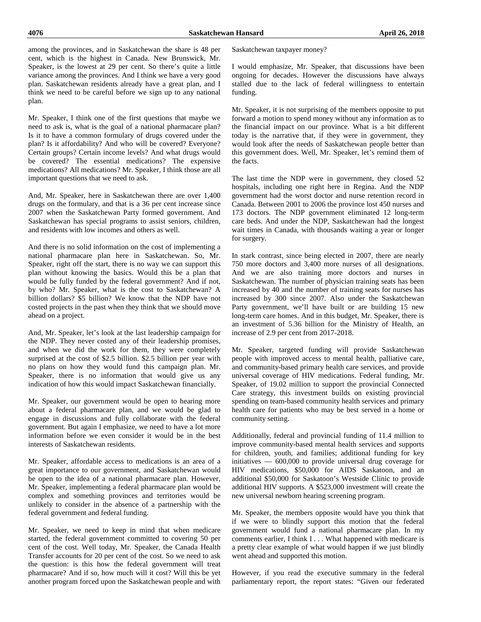among the provinces, and in Saskatchewan the share is 48 per cent, which is the highest in Canada. New Brunswick, Mr. Speaker, is the lowest at 29 per cent. So there's quite a little variance among the provinces. And I think we have a very good plan. Saskatchewan residents already have a great plan, and I think we need to be careful before we sign up to any national plan.

Mr. Speaker, I think one of the first questions that maybe we need to ask is, what is the goal of a national pharmacare plan? Is it to have a common formulary of drugs covered under the plan? Is it affordability? And who will be covered? Everyone? Certain groups? Certain income levels? And what drugs would be covered? The essential medications? The expensive medications? All medications? Mr. Speaker, I think those are all important questions that we need to ask.

And, Mr. Speaker, here in Saskatchewan there are over 1,400 drugs on the formulary, and that is a 36 per cent increase since 2007 when the Saskatchewan Party formed government. And Saskatchewan has special programs to assist seniors, children, and residents with low incomes and others as well.

And there is no solid information on the cost of implementing a national pharmacare plan here in Saskatchewan. So, Mr. Speaker, right off the start, there is no way we can support this plan without knowing the basics. Would this be a plan that would be fully funded by the federal government? And if not, by who? Mr. Speaker, what is the cost to Saskatchewan? A billion dollars? \$5 billion? We know that the NDP have not costed projects in the past when they think that we should move ahead on a project.

And, Mr. Speaker, let's look at the last leadership campaign for the NDP. They never costed any of their leadership promises, and when we did the work for them, they were completely surprised at the cost of \$2.5 billion. \$2.5 billion per year with no plans on how they would fund this campaign plan. Mr. Speaker, there is no information that would give us any indication of how this would impact Saskatchewan financially.

Mr. Speaker, our government would be open to hearing more about a federal pharmacare plan, and we would be glad to engage in discussions and fully collaborate with the federal government. But again I emphasize, we need to have a lot more information before we even consider it would be in the best interests of Saskatchewan residents.

Mr. Speaker, affordable access to medications is an area of a great importance to our government, and Saskatchewan would be open to the idea of a national pharmacare plan. However, Mr. Speaker, implementing a federal pharmacare plan would be complex and something provinces and territories would be unlikely to consider in the absence of a partnership with the federal government and federal funding.

Mr. Speaker, we need to keep in mind that when medicare started, the federal government committed to covering 50 per cent of the cost. Well today, Mr. Speaker, the Canada Health Transfer accounts for 20 per cent of the cost. So we need to ask the question: is this how the federal government will treat pharmacare? And if so, how much will it cost? Will this be yet another program forced upon the Saskatchewan people and with Saskatchewan taxpayer money?

I would emphasize, Mr. Speaker, that discussions have been ongoing for decades. However the discussions have always stalled due to the lack of federal willingness to entertain funding.

Mr. Speaker, it is not surprising of the members opposite to put forward a motion to spend money without any information as to the financial impact on our province. What is a bit different today is the narrative that, if they were in government, they would look after the needs of Saskatchewan people better than this government does. Well, Mr. Speaker, let's remind them of the facts.

The last time the NDP were in government, they closed 52 hospitals, including one right here in Regina. And the NDP government had the worst doctor and nurse retention record in Canada. Between 2001 to 2006 the province lost 450 nurses and 173 doctors. The NDP government eliminated 12 long-term care beds. And under the NDP, Saskatchewan had the longest wait times in Canada, with thousands waiting a year or longer for surgery.

In stark contrast, since being elected in 2007, there are nearly 750 more doctors and 3,400 more nurses of all designations. And we are also training more doctors and nurses in Saskatchewan. The number of physician training seats has been increased by 40 and the number of training seats for nurses has increased by 300 since 2007. Also under the Saskatchewan Party government, we'll have built or are building 15 new long-term care homes. And in this budget, Mr. Speaker, there is an investment of 5.36 billion for the Ministry of Health, an increase of 2.9 per cent from 2017-2018.

Mr. Speaker, targeted funding will provide Saskatchewan people with improved access to mental health, palliative care, and community-based primary health care services, and provide universal coverage of HIV medications. Federal funding, Mr. Speaker, of 19.02 million to support the provincial Connected Care strategy, this investment builds on existing provincial spending on team-based community health services and primary health care for patients who may be best served in a home or community setting.

Additionally, federal and provincial funding of 11.4 million to improve community-based mental health services and supports for children, youth, and families; additional funding for key initiatives — 600,000 to provide universal drug coverage for HIV medications, \$50,000 for AIDS Saskatoon, and an additional \$50,000 for Saskatoon's Westside Clinic to provide additional HIV supports. A \$523,000 investment will create the new universal newborn hearing screening program.

Mr. Speaker, the members opposite would have you think that if we were to blindly support this motion that the federal government would fund a national pharmacare plan. In my comments earlier, I think I . . . What happened with medicare is a pretty clear example of what would happen if we just blindly went ahead and supported this motion.

However, if you read the executive summary in the federal parliamentary report, the report states: "Given our federated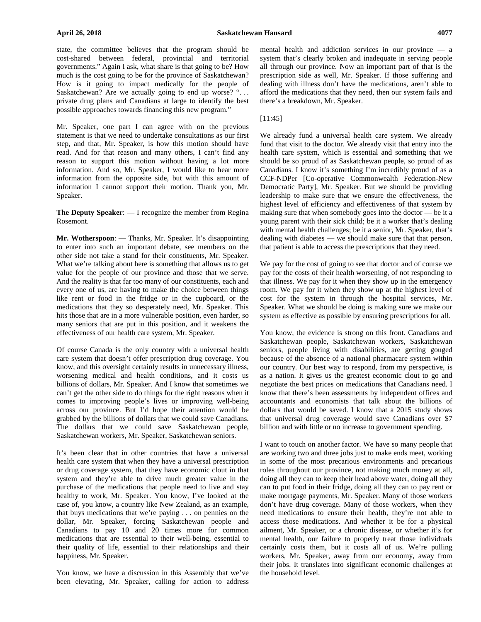state, the committee believes that the program should be cost-shared between federal, provincial and territorial governments." Again I ask, what share is that going to be? How much is the cost going to be for the province of Saskatchewan? How is it going to impact medically for the people of Saskatchewan? Are we actually going to end up worse? "... private drug plans and Canadians at large to identify the best possible approaches towards financing this new program."

Mr. Speaker, one part I can agree with on the previous statement is that we need to undertake consultations as our first step, and that, Mr. Speaker, is how this motion should have read. And for that reason and many others, I can't find any reason to support this motion without having a lot more information. And so, Mr. Speaker, I would like to hear more information from the opposite side, but with this amount of information I cannot support their motion. Thank you, Mr. Speaker.

**The Deputy Speaker**: — I recognize the member from Regina Rosemont.

**Mr. Wotherspoon**: — Thanks, Mr. Speaker. It's disappointing to enter into such an important debate, see members on the other side not take a stand for their constituents, Mr. Speaker. What we're talking about here is something that allows us to get value for the people of our province and those that we serve. And the reality is that far too many of our constituents, each and every one of us, are having to make the choice between things like rent or food in the fridge or in the cupboard, or the medications that they so desperately need, Mr. Speaker. This hits those that are in a more vulnerable position, even harder, so many seniors that are put in this position, and it weakens the effectiveness of our health care system, Mr. Speaker.

Of course Canada is the only country with a universal health care system that doesn't offer prescription drug coverage. You know, and this oversight certainly results in unnecessary illness, worsening medical and health conditions, and it costs us billions of dollars, Mr. Speaker. And I know that sometimes we can't get the other side to do things for the right reasons when it comes to improving people's lives or improving well-being across our province. But I'd hope their attention would be grabbed by the billions of dollars that we could save Canadians. The dollars that we could save Saskatchewan people, Saskatchewan workers, Mr. Speaker, Saskatchewan seniors.

It's been clear that in other countries that have a universal health care system that when they have a universal prescription or drug coverage system, that they have economic clout in that system and they're able to drive much greater value in the purchase of the medications that people need to live and stay healthy to work, Mr. Speaker. You know, I've looked at the case of, you know, a country like New Zealand, as an example, that buys medications that we're paying . . . on pennies on the dollar, Mr. Speaker, forcing Saskatchewan people and Canadians to pay 10 and 20 times more for common medications that are essential to their well-being, essential to their quality of life, essential to their relationships and their happiness, Mr. Speaker.

You know, we have a discussion in this Assembly that we've been elevating, Mr. Speaker, calling for action to address mental health and addiction services in our province — a system that's clearly broken and inadequate in serving people all through our province. Now an important part of that is the prescription side as well, Mr. Speaker. If those suffering and dealing with illness don't have the medications, aren't able to afford the medications that they need, then our system fails and there's a breakdown, Mr. Speaker.

## [11:45]

We already fund a universal health care system. We already fund that visit to the doctor. We already visit that entry into the health care system, which is essential and something that we should be so proud of as Saskatchewan people, so proud of as Canadians. I know it's something I'm incredibly proud of as a CCF-NDPer [Co-operative Commonwealth Federation-New Democratic Party], Mr. Speaker. But we should be providing leadership to make sure that we ensure the effectiveness, the highest level of efficiency and effectiveness of that system by making sure that when somebody goes into the doctor — be it a young parent with their sick child; be it a worker that's dealing with mental health challenges; be it a senior, Mr. Speaker, that's dealing with diabetes — we should make sure that that person, that patient is able to access the prescriptions that they need.

We pay for the cost of going to see that doctor and of course we pay for the costs of their health worsening, of not responding to that illness. We pay for it when they show up in the emergency room. We pay for it when they show up at the highest level of cost for the system in through the hospital services, Mr. Speaker. What we should be doing is making sure we make our system as effective as possible by ensuring prescriptions for all.

You know, the evidence is strong on this front. Canadians and Saskatchewan people, Saskatchewan workers, Saskatchewan seniors, people living with disabilities, are getting gouged because of the absence of a national pharmacare system within our country. Our best way to respond, from my perspective, is as a nation. It gives us the greatest economic clout to go and negotiate the best prices on medications that Canadians need. I know that there's been assessments by independent offices and accountants and economists that talk about the billions of dollars that would be saved. I know that a 2015 study shows that universal drug coverage would save Canadians over \$7 billion and with little or no increase to government spending.

I want to touch on another factor. We have so many people that are working two and three jobs just to make ends meet, working in some of the most precarious environments and precarious roles throughout our province, not making much money at all, doing all they can to keep their head above water, doing all they can to put food in their fridge, doing all they can to pay rent or make mortgage payments, Mr. Speaker. Many of those workers don't have drug coverage. Many of those workers, when they need medications to ensure their health, they're not able to access those medications. And whether it be for a physical ailment, Mr. Speaker, or a chronic disease, or whether it's for mental health, our failure to properly treat those individuals certainly costs them, but it costs all of us. We're pulling workers, Mr. Speaker, away from our economy, away from their jobs. It translates into significant economic challenges at the household level.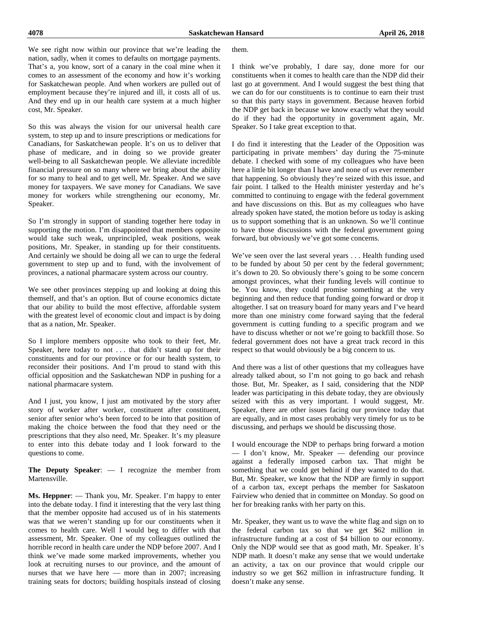We see right now within our province that we're leading the nation, sadly, when it comes to defaults on mortgage payments. That's a, you know, sort of a canary in the coal mine when it comes to an assessment of the economy and how it's working for Saskatchewan people. And when workers are pulled out of employment because they're injured and ill, it costs all of us. And they end up in our health care system at a much higher cost, Mr. Speaker.

So this was always the vision for our universal health care system, to step up and to insure prescriptions or medications for Canadians, for Saskatchewan people. It's on us to deliver that phase of medicare, and in doing so we provide greater well-being to all Saskatchewan people. We alleviate incredible financial pressure on so many where we bring about the ability for so many to heal and to get well, Mr. Speaker. And we save money for taxpayers. We save money for Canadians. We save money for workers while strengthening our economy, Mr. Speaker.

So I'm strongly in support of standing together here today in supporting the motion. I'm disappointed that members opposite would take such weak, unprincipled, weak positions, weak positions, Mr. Speaker, in standing up for their constituents. And certainly we should be doing all we can to urge the federal government to step up and to fund, with the involvement of provinces, a national pharmacare system across our country.

We see other provinces stepping up and looking at doing this themself, and that's an option. But of course economics dictate that our ability to build the most effective, affordable system with the greatest level of economic clout and impact is by doing that as a nation, Mr. Speaker.

So I implore members opposite who took to their feet, Mr. Speaker, here today to not . . . that didn't stand up for their constituents and for our province or for our health system, to reconsider their positions. And I'm proud to stand with this official opposition and the Saskatchewan NDP in pushing for a national pharmacare system.

And I just, you know, I just am motivated by the story after story of worker after worker, constituent after constituent, senior after senior who's been forced to be into that position of making the choice between the food that they need or the prescriptions that they also need, Mr. Speaker. It's my pleasure to enter into this debate today and I look forward to the questions to come.

**The Deputy Speaker**: — I recognize the member from Martensville.

**Ms. Heppner**: — Thank you, Mr. Speaker. I'm happy to enter into the debate today. I find it interesting that the very last thing that the member opposite had accused us of in his statements was that we weren't standing up for our constituents when it comes to health care. Well I would beg to differ with that assessment, Mr. Speaker. One of my colleagues outlined the horrible record in health care under the NDP before 2007. And I think we've made some marked improvements, whether you look at recruiting nurses to our province, and the amount of nurses that we have here — more than in 2007; increasing training seats for doctors; building hospitals instead of closing them.

I think we've probably, I dare say, done more for our constituents when it comes to health care than the NDP did their last go at government. And I would suggest the best thing that we can do for our constituents is to continue to earn their trust so that this party stays in government. Because heaven forbid the NDP get back in because we know exactly what they would do if they had the opportunity in government again, Mr. Speaker. So I take great exception to that.

I do find it interesting that the Leader of the Opposition was participating in private members' day during the 75-minute debate. I checked with some of my colleagues who have been here a little bit longer than I have and none of us ever remember that happening. So obviously they're seized with this issue, and fair point. I talked to the Health minister yesterday and he's committed to continuing to engage with the federal government and have discussions on this. But as my colleagues who have already spoken have stated, the motion before us today is asking us to support something that is an unknown. So we'll continue to have those discussions with the federal government going forward, but obviously we've got some concerns.

We've seen over the last several years . . . Health funding used to be funded by about 50 per cent by the federal government; it's down to 20. So obviously there's going to be some concern amongst provinces, what their funding levels will continue to be. You know, they could promise something at the very beginning and then reduce that funding going forward or drop it altogether. I sat on treasury board for many years and I've heard more than one ministry come forward saying that the federal government is cutting funding to a specific program and we have to discuss whether or not we're going to backfill those. So federal government does not have a great track record in this respect so that would obviously be a big concern to us.

And there was a list of other questions that my colleagues have already talked about, so I'm not going to go back and rehash those. But, Mr. Speaker, as I said, considering that the NDP leader was participating in this debate today, they are obviously seized with this as very important. I would suggest, Mr. Speaker, there are other issues facing our province today that are equally, and in most cases probably very timely for us to be discussing, and perhaps we should be discussing those.

I would encourage the NDP to perhaps bring forward a motion — I don't know, Mr. Speaker — defending our province against a federally imposed carbon tax. That might be something that we could get behind if they wanted to do that. But, Mr. Speaker, we know that the NDP are firmly in support of a carbon tax, except perhaps the member for Saskatoon Fairview who denied that in committee on Monday. So good on her for breaking ranks with her party on this.

Mr. Speaker, they want us to wave the white flag and sign on to the federal carbon tax so that we get \$62 million in infrastructure funding at a cost of \$4 billion to our economy. Only the NDP would see that as good math, Mr. Speaker. It's NDP math. It doesn't make any sense that we would undertake an activity, a tax on our province that would cripple our industry so we get \$62 million in infrastructure funding. It doesn't make any sense.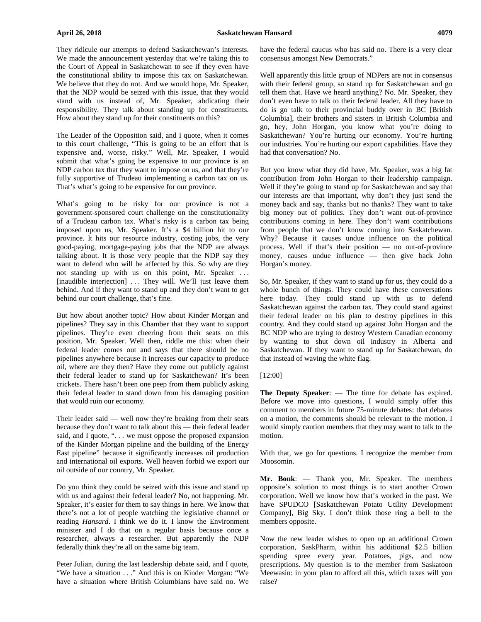They ridicule our attempts to defend Saskatchewan's interests. We made the announcement vesterday that we're taking this to the Court of Appeal in Saskatchewan to see if they even have the constitutional ability to impose this tax on Saskatchewan. We believe that they do not. And we would hope, Mr. Speaker, that the NDP would be seized with this issue, that they would stand with us instead of, Mr. Speaker, abdicating their responsibility. They talk about standing up for constituents. How about they stand up for their constituents on this?

The Leader of the Opposition said, and I quote, when it comes to this court challenge, "This is going to be an effort that is expensive and, worse, risky." Well, Mr. Speaker, I would submit that what's going be expensive to our province is an NDP carbon tax that they want to impose on us, and that they're fully supportive of Trudeau implementing a carbon tax on us. That's what's going to be expensive for our province.

What's going to be risky for our province is not a government-sponsored court challenge on the constitutionality of a Trudeau carbon tax. What's risky is a carbon tax being imposed upon us, Mr. Speaker. It's a \$4 billion hit to our province. It hits our resource industry, costing jobs, the very good-paying, mortgage-paying jobs that the NDP are always talking about. It is those very people that the NDP say they want to defend who will be affected by this. So why are they not standing up with us on this point, Mr. Speaker ... [inaudible interjection] ... They will. We'll just leave them behind. And if they want to stand up and they don't want to get behind our court challenge, that's fine.

But how about another topic? How about Kinder Morgan and pipelines? They say in this Chamber that they want to support pipelines. They're even cheering from their seats on this position, Mr. Speaker. Well then, riddle me this: when their federal leader comes out and says that there should be no pipelines anywhere because it increases our capacity to produce oil, where are they then? Have they come out publicly against their federal leader to stand up for Saskatchewan? It's been crickets. There hasn't been one peep from them publicly asking their federal leader to stand down from his damaging position that would ruin our economy.

Their leader said — well now they're beaking from their seats because they don't want to talk about this — their federal leader said, and I quote, "... we must oppose the proposed expansion of the Kinder Morgan pipeline and the building of the Energy East pipeline" because it significantly increases oil production and international oil exports. Well heaven forbid we export our oil outside of our country, Mr. Speaker.

Do you think they could be seized with this issue and stand up with us and against their federal leader? No, not happening. Mr. Speaker, it's easier for them to say things in here. We know that there's not a lot of people watching the legislative channel or reading *Hansard*. I think we do it. I know the Environment minister and I do that on a regular basis because once a researcher, always a researcher. But apparently the NDP federally think they're all on the same big team.

Peter Julian, during the last leadership debate said, and I quote, "We have a situation . . ." And this is on Kinder Morgan: "We have a situation where British Columbians have said no. We have the federal caucus who has said no. There is a very clear consensus amongst New Democrats."

Well apparently this little group of NDPers are not in consensus with their federal group, so stand up for Saskatchewan and go tell them that. Have we heard anything? No. Mr. Speaker, they don't even have to talk to their federal leader. All they have to do is go talk to their provincial buddy over in BC [British Columbia], their brothers and sisters in British Columbia and go, hey, John Horgan, you know what you're doing to Saskatchewan? You're hurting our economy. You're hurting our industries. You're hurting our export capabilities. Have they had that conversation? No.

But you know what they did have, Mr. Speaker, was a big fat contribution from John Horgan to their leadership campaign. Well if they're going to stand up for Saskatchewan and say that our interests are that important, why don't they just send the money back and say, thanks but no thanks? They want to take big money out of politics. They don't want out-of-province contributions coming in here. They don't want contributions from people that we don't know coming into Saskatchewan. Why? Because it causes undue influence on the political process. Well if that's their position — no out-of-province money, causes undue influence — then give back John Horgan's money.

So, Mr. Speaker, if they want to stand up for us, they could do a whole bunch of things. They could have these conversations here today. They could stand up with us to defend Saskatchewan against the carbon tax. They could stand against their federal leader on his plan to destroy pipelines in this country. And they could stand up against John Horgan and the BC NDP who are trying to destroy Western Canadian economy by wanting to shut down oil industry in Alberta and Saskatchewan. If they want to stand up for Saskatchewan, do that instead of waving the white flag.

## [12:00]

**The Deputy Speaker**: — The time for debate has expired. Before we move into questions, I would simply offer this comment to members in future 75-minute debates: that debates on a motion, the comments should be relevant to the motion. I would simply caution members that they may want to talk to the motion.

With that, we go for questions. I recognize the member from Moosomin.

**Mr. Bonk**: — Thank you, Mr. Speaker. The members opposite's solution to most things is to start another Crown corporation. Well we know how that's worked in the past. We have SPUDCO [Saskatchewan Potato Utility Development Company], Big Sky. I don't think those ring a bell to the members opposite.

Now the new leader wishes to open up an additional Crown corporation, SaskPharm, within his additional \$2.5 billion spending spree every year. Potatoes, pigs, and now prescriptions. My question is to the member from Saskatoon Meewasin: in your plan to afford all this, which taxes will you raise?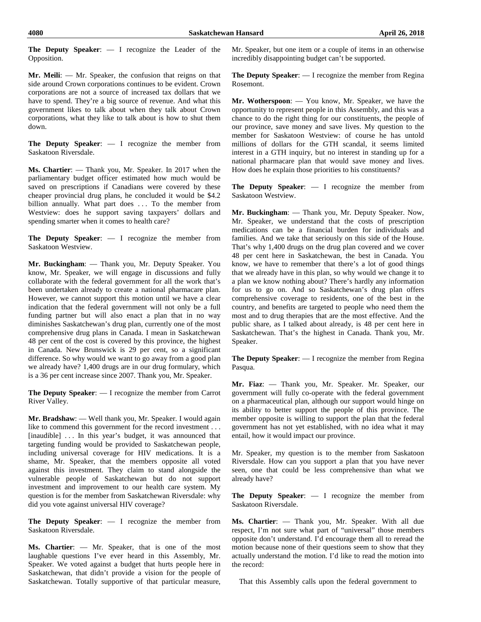**The Deputy Speaker**: — I recognize the Leader of the Opposition.

**Mr. Meili**: — Mr. Speaker, the confusion that reigns on that side around Crown corporations continues to be evident. Crown corporations are not a source of increased tax dollars that we have to spend. They're a big source of revenue. And what this government likes to talk about when they talk about Crown corporations, what they like to talk about is how to shut them down.

**The Deputy Speaker**: — I recognize the member from Saskatoon Riversdale.

**Ms. Chartier**: — Thank you, Mr. Speaker. In 2017 when the parliamentary budget officer estimated how much would be saved on prescriptions if Canadians were covered by these cheaper provincial drug plans, he concluded it would be \$4.2 billion annually. What part does . . . To the member from Westview: does he support saving taxpayers' dollars and spending smarter when it comes to health care?

**The Deputy Speaker**: — I recognize the member from Saskatoon Westview.

**Mr. Buckingham**: — Thank you, Mr. Deputy Speaker. You know, Mr. Speaker, we will engage in discussions and fully collaborate with the federal government for all the work that's been undertaken already to create a national pharmacare plan. However, we cannot support this motion until we have a clear indication that the federal government will not only be a full funding partner but will also enact a plan that in no way diminishes Saskatchewan's drug plan, currently one of the most comprehensive drug plans in Canada. I mean in Saskatchewan 48 per cent of the cost is covered by this province, the highest in Canada. New Brunswick is 29 per cent, so a significant difference. So why would we want to go away from a good plan we already have? 1,400 drugs are in our drug formulary, which is a 36 per cent increase since 2007. Thank you, Mr. Speaker.

**The Deputy Speaker**: — I recognize the member from Carrot River Valley.

**Mr. Bradshaw**: — Well thank you, Mr. Speaker. I would again like to commend this government for the record investment ... [inaudible] ... In this year's budget, it was announced that targeting funding would be provided to Saskatchewan people, including universal coverage for HIV medications. It is a shame, Mr. Speaker, that the members opposite all voted against this investment. They claim to stand alongside the vulnerable people of Saskatchewan but do not support investment and improvement to our health care system. My question is for the member from Saskatchewan Riversdale: why did you vote against universal HIV coverage?

**The Deputy Speaker**: — I recognize the member from Saskatoon Riversdale.

**Ms. Chartier**: — Mr. Speaker, that is one of the most laughable questions I've ever heard in this Assembly, Mr. Speaker. We voted against a budget that hurts people here in Saskatchewan, that didn't provide a vision for the people of Saskatchewan. Totally supportive of that particular measure, Mr. Speaker, but one item or a couple of items in an otherwise incredibly disappointing budget can't be supported.

**The Deputy Speaker**: — I recognize the member from Regina Rosemont.

**Mr. Wotherspoon**: — You know, Mr. Speaker, we have the opportunity to represent people in this Assembly, and this was a chance to do the right thing for our constituents, the people of our province, save money and save lives. My question to the member for Saskatoon Westview: of course he has untold millions of dollars for the GTH scandal, it seems limited interest in a GTH inquiry, but no interest in standing up for a national pharmacare plan that would save money and lives. How does he explain those priorities to his constituents?

**The Deputy Speaker**: — I recognize the member from Saskatoon Westview.

**Mr. Buckingham**: — Thank you, Mr. Deputy Speaker. Now, Mr. Speaker, we understand that the costs of prescription medications can be a financial burden for individuals and families. And we take that seriously on this side of the House. That's why 1,400 drugs on the drug plan covered and we cover 48 per cent here in Saskatchewan, the best in Canada. You know, we have to remember that there's a lot of good things that we already have in this plan, so why would we change it to a plan we know nothing about? There's hardly any information for us to go on. And so Saskatchewan's drug plan offers comprehensive coverage to residents, one of the best in the country, and benefits are targeted to people who need them the most and to drug therapies that are the most effective. And the public share, as I talked about already, is 48 per cent here in Saskatchewan. That's the highest in Canada. Thank you, Mr. Speaker.

**The Deputy Speaker**: — I recognize the member from Regina Pasqua.

**Mr. Fiaz**: — Thank you, Mr. Speaker. Mr. Speaker, our government will fully co-operate with the federal government on a pharmaceutical plan, although our support would hinge on its ability to better support the people of this province. The member opposite is willing to support the plan that the federal government has not yet established, with no idea what it may entail, how it would impact our province.

Mr. Speaker, my question is to the member from Saskatoon Riversdale. How can you support a plan that you have never seen, one that could be less comprehensive than what we already have?

**The Deputy Speaker**: — I recognize the member from Saskatoon Riversdale.

**Ms. Chartier**: — Thank you, Mr. Speaker. With all due respect, I'm not sure what part of "universal" those members opposite don't understand. I'd encourage them all to reread the motion because none of their questions seem to show that they actually understand the motion. I'd like to read the motion into the record:

That this Assembly calls upon the federal government to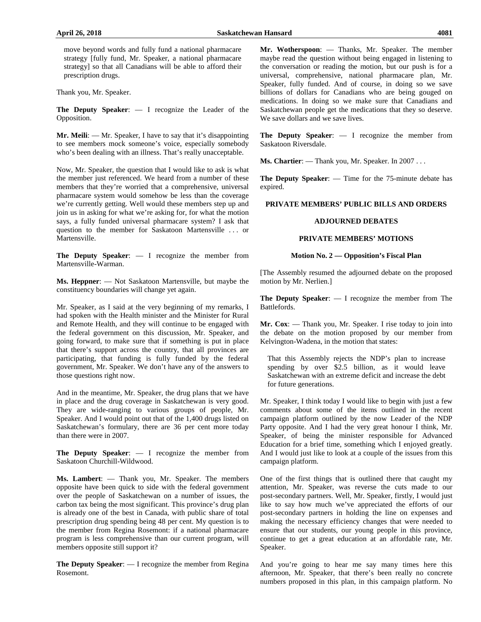move beyond words and fully fund a national pharmacare strategy [fully fund, Mr. Speaker, a national pharmacare strategy] so that all Canadians will be able to afford their prescription drugs.

Thank you, Mr. Speaker.

**The Deputy Speaker**: — I recognize the Leader of the Opposition.

**Mr. Meili**: — Mr. Speaker, I have to say that it's disappointing to see members mock someone's voice, especially somebody who's been dealing with an illness. That's really unacceptable.

Now, Mr. Speaker, the question that I would like to ask is what the member just referenced. We heard from a number of these members that they're worried that a comprehensive, universal pharmacare system would somehow be less than the coverage we're currently getting. Well would these members step up and join us in asking for what we're asking for, for what the motion says, a fully funded universal pharmacare system? I ask that question to the member for Saskatoon Martensville . . . or Martensville.

**The Deputy Speaker**: — I recognize the member from Martensville-Warman.

**Ms. Heppner**: — Not Saskatoon Martensville, but maybe the constituency boundaries will change yet again.

Mr. Speaker, as I said at the very beginning of my remarks, I had spoken with the Health minister and the Minister for Rural and Remote Health, and they will continue to be engaged with the federal government on this discussion, Mr. Speaker, and going forward, to make sure that if something is put in place that there's support across the country, that all provinces are participating, that funding is fully funded by the federal government, Mr. Speaker. We don't have any of the answers to those questions right now.

And in the meantime, Mr. Speaker, the drug plans that we have in place and the drug coverage in Saskatchewan is very good. They are wide-ranging to various groups of people, Mr. Speaker. And I would point out that of the 1,400 drugs listed on Saskatchewan's formulary, there are 36 per cent more today than there were in 2007.

**The Deputy Speaker**: — I recognize the member from Saskatoon Churchill-Wildwood.

**Ms. Lambert**: — Thank you, Mr. Speaker. The members opposite have been quick to side with the federal government over the people of Saskatchewan on a number of issues, the carbon tax being the most significant. This province's drug plan is already one of the best in Canada, with public share of total prescription drug spending being 48 per cent. My question is to the member from Regina Rosemont: if a national pharmacare program is less comprehensive than our current program, will members opposite still support it?

**The Deputy Speaker**: — I recognize the member from Regina Rosemont.

**Mr. Wotherspoon**: — Thanks, Mr. Speaker. The member maybe read the question without being engaged in listening to the conversation or reading the motion, but our push is for a universal, comprehensive, national pharmacare plan, Mr. Speaker, fully funded. And of course, in doing so we save billions of dollars for Canadians who are being gouged on medications. In doing so we make sure that Canadians and Saskatchewan people get the medications that they so deserve. We save dollars and we save lives.

**The Deputy Speaker**: — I recognize the member from Saskatoon Riversdale.

**Ms. Chartier**: — Thank you, Mr. Speaker. In 2007 . . .

**The Deputy Speaker**: — Time for the 75-minute debate has expired.

#### **PRIVATE MEMBERS' PUBLIC BILLS AND ORDERS**

#### **ADJOURNED DEBATES**

#### **PRIVATE MEMBERS' MOTIONS**

### **Motion No. 2 — Opposition's Fiscal Plan**

[The Assembly resumed the adjourned debate on the proposed motion by Mr. Nerlien.]

**The Deputy Speaker**: — I recognize the member from The Battlefords.

**Mr. Cox**: — Thank you, Mr. Speaker. I rise today to join into the debate on the motion proposed by our member from Kelvington-Wadena, in the motion that states:

That this Assembly rejects the NDP's plan to increase spending by over \$2.5 billion, as it would leave Saskatchewan with an extreme deficit and increase the debt for future generations.

Mr. Speaker, I think today I would like to begin with just a few comments about some of the items outlined in the recent campaign platform outlined by the now Leader of the NDP Party opposite. And I had the very great honour I think, Mr. Speaker, of being the minister responsible for Advanced Education for a brief time, something which I enjoyed greatly. And I would just like to look at a couple of the issues from this campaign platform.

One of the first things that is outlined there that caught my attention, Mr. Speaker, was reverse the cuts made to our post-secondary partners. Well, Mr. Speaker, firstly, I would just like to say how much we've appreciated the efforts of our post-secondary partners in holding the line on expenses and making the necessary efficiency changes that were needed to ensure that our students, our young people in this province, continue to get a great education at an affordable rate, Mr. Speaker.

And you're going to hear me say many times here this afternoon, Mr. Speaker, that there's been really no concrete numbers proposed in this plan, in this campaign platform. No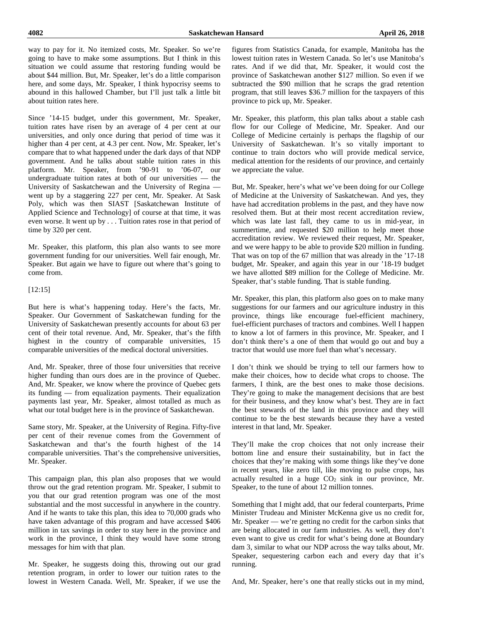way to pay for it. No itemized costs, Mr. Speaker. So we're going to have to make some assumptions. But I think in this situation we could assume that restoring funding would be about \$44 million. But, Mr. Speaker, let's do a little comparison here, and some days, Mr. Speaker, I think hypocrisy seems to abound in this hallowed Chamber, but I'll just talk a little bit about tuition rates here.

Since '14-15 budget, under this government, Mr. Speaker, tuition rates have risen by an average of 4 per cent at our universities, and only once during that period of time was it higher than 4 per cent, at 4.3 per cent. Now, Mr. Speaker, let's compare that to what happened under the dark days of that NDP government. And he talks about stable tuition rates in this platform. Mr. Speaker, from '90-91 to '06-07, our undergraduate tuition rates at both of our universities — the University of Saskatchewan and the University of Regina went up by a staggering 227 per cent, Mr. Speaker. At Sask Poly, which was then SIAST [Saskatchewan Institute of Applied Science and Technology] of course at that time, it was even worse. It went up by . . . Tuition rates rose in that period of time by 320 per cent.

Mr. Speaker, this platform, this plan also wants to see more government funding for our universities. Well fair enough, Mr. Speaker. But again we have to figure out where that's going to come from.

[12:15]

But here is what's happening today. Here's the facts, Mr. Speaker. Our Government of Saskatchewan funding for the University of Saskatchewan presently accounts for about 63 per cent of their total revenue. And, Mr. Speaker, that's the fifth highest in the country of comparable universities, 15 comparable universities of the medical doctoral universities.

And, Mr. Speaker, three of those four universities that receive higher funding than ours does are in the province of Quebec. And, Mr. Speaker, we know where the province of Quebec gets its funding — from equalization payments. Their equalization payments last year, Mr. Speaker, almost totalled as much as what our total budget here is in the province of Saskatchewan.

Same story, Mr. Speaker, at the University of Regina. Fifty-five per cent of their revenue comes from the Government of Saskatchewan and that's the fourth highest of the 14 comparable universities. That's the comprehensive universities, Mr. Speaker.

This campaign plan, this plan also proposes that we would throw out the grad retention program. Mr. Speaker, I submit to you that our grad retention program was one of the most substantial and the most successful in anywhere in the country. And if he wants to take this plan, this idea to 70,000 grads who have taken advantage of this program and have accessed \$406 million in tax savings in order to stay here in the province and work in the province, I think they would have some strong messages for him with that plan.

Mr. Speaker, he suggests doing this, throwing out our grad retention program, in order to lower our tuition rates to the lowest in Western Canada. Well, Mr. Speaker, if we use the figures from Statistics Canada, for example, Manitoba has the lowest tuition rates in Western Canada. So let's use Manitoba's rates. And if we did that, Mr. Speaker, it would cost the province of Saskatchewan another \$127 million. So even if we subtracted the \$90 million that he scraps the grad retention program, that still leaves \$36.7 million for the taxpayers of this province to pick up, Mr. Speaker.

Mr. Speaker, this platform, this plan talks about a stable cash flow for our College of Medicine, Mr. Speaker. And our College of Medicine certainly is perhaps the flagship of our University of Saskatchewan. It's so vitally important to continue to train doctors who will provide medical service, medical attention for the residents of our province, and certainly we appreciate the value.

But, Mr. Speaker, here's what we've been doing for our College of Medicine at the University of Saskatchewan. And yes, they have had accreditation problems in the past, and they have now resolved them. But at their most recent accreditation review, which was late last fall, they came to us in mid-year, in summertime, and requested \$20 million to help meet those accreditation review. We reviewed their request, Mr. Speaker, and we were happy to be able to provide \$20 million in funding. That was on top of the 67 million that was already in the '17-18 budget, Mr. Speaker, and again this year in our '18-19 budget we have allotted \$89 million for the College of Medicine. Mr. Speaker, that's stable funding. That is stable funding.

Mr. Speaker, this plan, this platform also goes on to make many suggestions for our farmers and our agriculture industry in this province, things like encourage fuel-efficient machinery, fuel-efficient purchases of tractors and combines. Well I happen to know a lot of farmers in this province, Mr. Speaker, and I don't think there's a one of them that would go out and buy a tractor that would use more fuel than what's necessary.

I don't think we should be trying to tell our farmers how to make their choices, how to decide what crops to choose. The farmers, I think, are the best ones to make those decisions. They're going to make the management decisions that are best for their business, and they know what's best. They are in fact the best stewards of the land in this province and they will continue to be the best stewards because they have a vested interest in that land, Mr. Speaker.

They'll make the crop choices that not only increase their bottom line and ensure their sustainability, but in fact the choices that they're making with some things like they've done in recent years, like zero till, like moving to pulse crops, has actually resulted in a huge  $CO<sub>2</sub>$  sink in our province, Mr. Speaker, to the tune of about 12 million tonnes.

Something that I might add, that our federal counterparts, Prime Minister Trudeau and Minister McKenna give us no credit for, Mr. Speaker — we're getting no credit for the carbon sinks that are being allocated in our farm industries. As well, they don't even want to give us credit for what's being done at Boundary dam 3, similar to what our NDP across the way talks about, Mr. Speaker, sequestering carbon each and every day that it's running.

And, Mr. Speaker, here's one that really sticks out in my mind,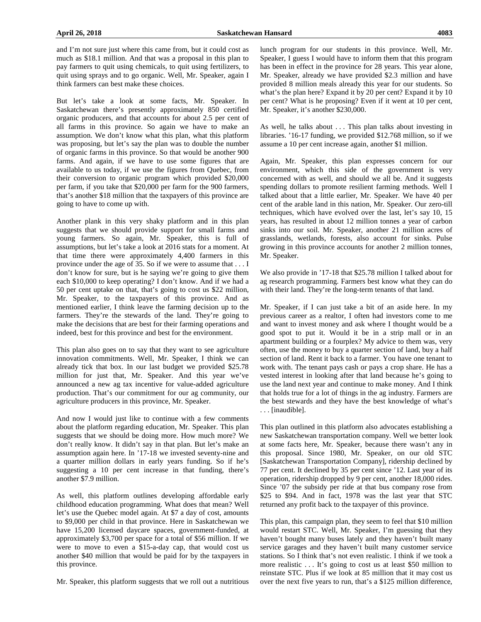and I'm not sure just where this came from, but it could cost as much as \$18.1 million. And that was a proposal in this plan to pay farmers to quit using chemicals, to quit using fertilizers, to quit using sprays and to go organic. Well, Mr. Speaker, again I think farmers can best make these choices.

But let's take a look at some facts, Mr. Speaker. In Saskatchewan there's presently approximately 850 certified organic producers, and that accounts for about 2.5 per cent of all farms in this province. So again we have to make an assumption. We don't know what this plan, what this platform was proposing, but let's say the plan was to double the number of organic farms in this province. So that would be another 900 farms. And again, if we have to use some figures that are available to us today, if we use the figures from Quebec, from their conversion to organic program which provided \$20,000 per farm, if you take that \$20,000 per farm for the 900 farmers, that's another \$18 million that the taxpayers of this province are going to have to come up with.

Another plank in this very shaky platform and in this plan suggests that we should provide support for small farms and young farmers. So again, Mr. Speaker, this is full of assumptions, but let's take a look at 2016 stats for a moment. At that time there were approximately 4,400 farmers in this province under the age of 35. So if we were to assume that . . . I don't know for sure, but is he saying we're going to give them each \$10,000 to keep operating? I don't know. And if we had a 50 per cent uptake on that, that's going to cost us \$22 million, Mr. Speaker, to the taxpayers of this province. And as mentioned earlier, I think leave the farming decision up to the farmers. They're the stewards of the land. They're going to make the decisions that are best for their farming operations and indeed, best for this province and best for the environment.

This plan also goes on to say that they want to see agriculture innovation commitments. Well, Mr. Speaker, I think we can already tick that box. In our last budget we provided \$25.78 million for just that, Mr. Speaker. And this year we've announced a new ag tax incentive for value-added agriculture production. That's our commitment for our ag community, our agriculture producers in this province, Mr. Speaker.

And now I would just like to continue with a few comments about the platform regarding education, Mr. Speaker. This plan suggests that we should be doing more. How much more? We don't really know. It didn't say in that plan. But let's make an assumption again here. In '17-18 we invested seventy-nine and a quarter million dollars in early years funding. So if he's suggesting a 10 per cent increase in that funding, there's another \$7.9 million.

As well, this platform outlines developing affordable early childhood education programming. What does that mean? Well let's use the Quebec model again. At \$7 a day of cost, amounts to \$9,000 per child in that province. Here in Saskatchewan we have 15,200 licensed daycare spaces, government-funded, at approximately \$3,700 per space for a total of \$56 million. If we were to move to even a \$15-a-day cap, that would cost us another \$40 million that would be paid for by the taxpayers in this province.

Mr. Speaker, this platform suggests that we roll out a nutritious

lunch program for our students in this province. Well, Mr. Speaker, I guess I would have to inform them that this program has been in effect in the province for 28 years. This year alone, Mr. Speaker, already we have provided \$2.3 million and have provided 8 million meals already this year for our students. So what's the plan here? Expand it by 20 per cent? Expand it by 10 per cent? What is he proposing? Even if it went at 10 per cent, Mr. Speaker, it's another \$230,000.

As well, he talks about . . . This plan talks about investing in libraries. '16-17 funding, we provided \$12.768 million, so if we assume a 10 per cent increase again, another \$1 million.

Again, Mr. Speaker, this plan expresses concern for our environment, which this side of the government is very concerned with as well, and should we all be. And it suggests spending dollars to promote resilient farming methods. Well I talked about that a little earlier, Mr. Speaker. We have 40 per cent of the arable land in this nation, Mr. Speaker. Our zero-till techniques, which have evolved over the last, let's say 10, 15 years, has resulted in about 12 million tonnes a year of carbon sinks into our soil. Mr. Speaker, another 21 million acres of grasslands, wetlands, forests, also account for sinks. Pulse growing in this province accounts for another 2 million tonnes, Mr. Speaker.

We also provide in '17-18 that \$25.78 million I talked about for ag research programming. Farmers best know what they can do with their land. They're the long-term tenants of that land.

Mr. Speaker, if I can just take a bit of an aside here. In my previous career as a realtor, I often had investors come to me and want to invest money and ask where I thought would be a good spot to put it. Would it be in a strip mall or in an apartment building or a fourplex? My advice to them was, very often, use the money to buy a quarter section of land, buy a half section of land. Rent it back to a farmer. You have one tenant to work with. The tenant pays cash or pays a crop share. He has a vested interest in looking after that land because he's going to use the land next year and continue to make money. And I think that holds true for a lot of things in the ag industry. Farmers are the best stewards and they have the best knowledge of what's . . . [inaudible].

This plan outlined in this platform also advocates establishing a new Saskatchewan transportation company. Well we better look at some facts here, Mr. Speaker, because there wasn't any in this proposal. Since 1980, Mr. Speaker, on our old STC [Saskatchewan Transportation Company], ridership declined by 77 per cent. It declined by 35 per cent since '12. Last year of its operation, ridership dropped by 9 per cent, another 18,000 rides. Since '07 the subsidy per ride at that bus company rose from \$25 to \$94. And in fact, 1978 was the last year that STC returned any profit back to the taxpayer of this province.

This plan, this campaign plan, they seem to feel that \$10 million would restart STC. Well, Mr. Speaker, I'm guessing that they haven't bought many buses lately and they haven't built many service garages and they haven't built many customer service stations. So I think that's not even realistic. I think if we took a more realistic ... It's going to cost us at least \$50 million to reinstate STC. Plus if we look at 85 million that it may cost us over the next five years to run, that's a \$125 million difference,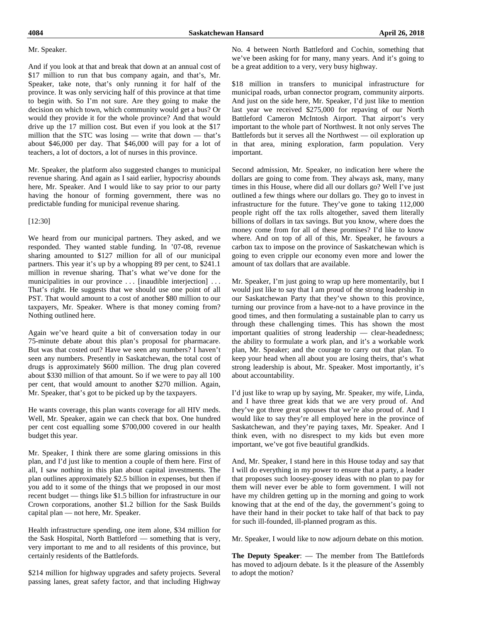#### Mr. Speaker.

And if you look at that and break that down at an annual cost of \$17 million to run that bus company again, and that's, Mr. Speaker, take note, that's only running it for half of the province. It was only servicing half of this province at that time to begin with. So I'm not sure. Are they going to make the decision on which town, which community would get a bus? Or would they provide it for the whole province? And that would drive up the 17 million cost. But even if you look at the \$17 million that the STC was losing — write that down — that's about \$46,000 per day. That \$46,000 will pay for a lot of teachers, a lot of doctors, a lot of nurses in this province.

Mr. Speaker, the platform also suggested changes to municipal revenue sharing. And again as I said earlier, hypocrisy abounds here, Mr. Speaker. And I would like to say prior to our party having the honour of forming government, there was no predictable funding for municipal revenue sharing.

#### [12:30]

We heard from our municipal partners. They asked, and we responded. They wanted stable funding. In '07-08, revenue sharing amounted to \$127 million for all of our municipal partners. This year it's up by a whopping 89 per cent, to \$241.1 million in revenue sharing. That's what we've done for the municipalities in our province ... [inaudible interjection] ... That's right. He suggests that we should use one point of all PST. That would amount to a cost of another \$80 million to our taxpayers, Mr. Speaker. Where is that money coming from? Nothing outlined here.

Again we've heard quite a bit of conversation today in our 75-minute debate about this plan's proposal for pharmacare. But was that costed out? Have we seen any numbers? I haven't seen any numbers. Presently in Saskatchewan, the total cost of drugs is approximately \$600 million. The drug plan covered about \$330 million of that amount. So if we were to pay all 100 per cent, that would amount to another \$270 million. Again, Mr. Speaker, that's got to be picked up by the taxpayers.

He wants coverage, this plan wants coverage for all HIV meds. Well, Mr. Speaker, again we can check that box. One hundred per cent cost equalling some \$700,000 covered in our health budget this year.

Mr. Speaker, I think there are some glaring omissions in this plan, and I'd just like to mention a couple of them here. First of all, I saw nothing in this plan about capital investments. The plan outlines approximately \$2.5 billion in expenses, but then if you add to it some of the things that we proposed in our most recent budget — things like \$1.5 billion for infrastructure in our Crown corporations, another \$1.2 billion for the Sask Builds capital plan — not here, Mr. Speaker.

Health infrastructure spending, one item alone, \$34 million for the Sask Hospital, North Battleford — something that is very, very important to me and to all residents of this province, but certainly residents of the Battlefords.

\$214 million for highway upgrades and safety projects. Several passing lanes, great safety factor, and that including Highway

No. 4 between North Battleford and Cochin, something that we've been asking for for many, many years. And it's going to be a great addition to a very, very busy highway.

\$18 million in transfers to municipal infrastructure for municipal roads, urban connector program, community airports. And just on the side here, Mr. Speaker, I'd just like to mention last year we received \$275,000 for repaving of our North Battleford Cameron McIntosh Airport. That airport's very important to the whole part of Northwest. It not only serves The Battlefords but it serves all the Northwest — oil exploration up in that area, mining exploration, farm population. Very important.

Second admission, Mr. Speaker, no indication here where the dollars are going to come from. They always ask, many, many times in this House, where did all our dollars go? Well I've just outlined a few things where our dollars go. They go to invest in infrastructure for the future. They've gone to taking 112,000 people right off the tax rolls altogether, saved them literally billions of dollars in tax savings. But you know, where does the money come from for all of these promises? I'd like to know where. And on top of all of this, Mr. Speaker, he favours a carbon tax to impose on the province of Saskatchewan which is going to even cripple our economy even more and lower the amount of tax dollars that are available.

Mr. Speaker, I'm just going to wrap up here momentarily, but I would just like to say that I am proud of the strong leadership in our Saskatchewan Party that they've shown to this province, turning our province from a have-not to a have province in the good times, and then formulating a sustainable plan to carry us through these challenging times. This has shown the most important qualities of strong leadership — clear-headedness; the ability to formulate a work plan, and it's a workable work plan, Mr. Speaker; and the courage to carry out that plan. To keep your head when all about you are losing theirs, that's what strong leadership is about, Mr. Speaker. Most importantly, it's about accountability.

I'd just like to wrap up by saying, Mr. Speaker, my wife, Linda, and I have three great kids that we are very proud of. And they've got three great spouses that we're also proud of. And I would like to say they're all employed here in the province of Saskatchewan, and they're paying taxes, Mr. Speaker. And I think even, with no disrespect to my kids but even more important, we've got five beautiful grandkids.

And, Mr. Speaker, I stand here in this House today and say that I will do everything in my power to ensure that a party, a leader that proposes such loosey-goosey ideas with no plan to pay for them will never ever be able to form government. I will not have my children getting up in the morning and going to work knowing that at the end of the day, the government's going to have their hand in their pocket to take half of that back to pay for such ill-founded, ill-planned program as this.

Mr. Speaker, I would like to now adjourn debate on this motion.

**The Deputy Speaker**: — The member from The Battlefords has moved to adjourn debate. Is it the pleasure of the Assembly to adopt the motion?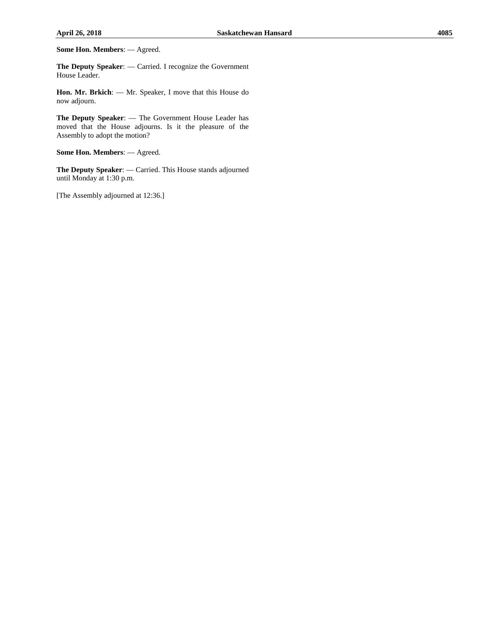**Some Hon. Members**: — Agreed.

**The Deputy Speaker**: — Carried. I recognize the Government House Leader.

**Hon. Mr. Brkich**: — Mr. Speaker, I move that this House do now adjourn.

**The Deputy Speaker**: — The Government House Leader has moved that the House adjourns. Is it the pleasure of the Assembly to adopt the motion?

**Some Hon. Members**: — Agreed.

**The Deputy Speaker**: — Carried. This House stands adjourned until Monday at 1:30 p.m.

[The Assembly adjourned at 12:36.]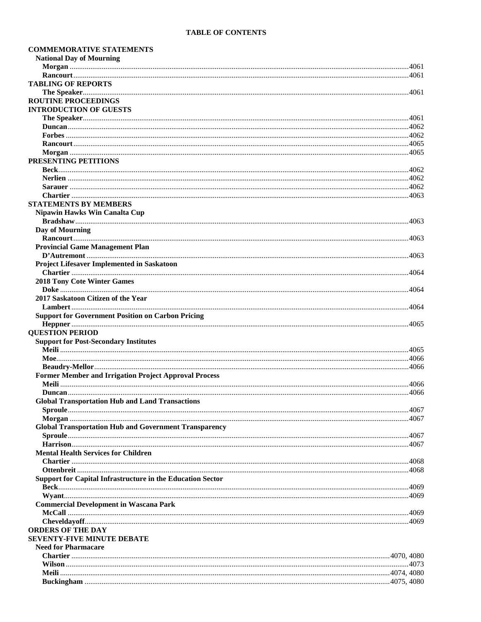## **TABLE OF CONTENTS**

| <b>COMMEMORATIVE STATEMENTS</b>                              |  |
|--------------------------------------------------------------|--|
| <b>National Day of Mourning</b>                              |  |
|                                                              |  |
|                                                              |  |
| <b>TABLING OF REPORTS</b>                                    |  |
|                                                              |  |
| <b>ROUTINE PROCEEDINGS</b>                                   |  |
| <b>INTRODUCTION OF GUESTS</b>                                |  |
|                                                              |  |
|                                                              |  |
|                                                              |  |
|                                                              |  |
|                                                              |  |
| PRESENTING PETITIONS                                         |  |
|                                                              |  |
|                                                              |  |
|                                                              |  |
|                                                              |  |
| <b>STATEMENTS BY MEMBERS</b>                                 |  |
| <b>Nipawin Hawks Win Canalta Cup</b>                         |  |
|                                                              |  |
| Day of Mourning                                              |  |
|                                                              |  |
| <b>Provincial Game Management Plan</b>                       |  |
|                                                              |  |
| <b>Project Lifesaver Implemented in Saskatoon</b>            |  |
|                                                              |  |
| <b>2018 Tony Cote Winter Games</b>                           |  |
|                                                              |  |
| 2017 Saskatoon Citizen of the Year                           |  |
|                                                              |  |
| <b>Support for Government Position on Carbon Pricing</b>     |  |
|                                                              |  |
| <b>QUESTION PERIOD</b>                                       |  |
| <b>Support for Post-Secondary Institutes</b>                 |  |
|                                                              |  |
|                                                              |  |
|                                                              |  |
| <b>Former Member and Irrigation Project Approval Process</b> |  |
|                                                              |  |
|                                                              |  |
| <b>Global Transportation Hub and Land Transactions</b>       |  |
|                                                              |  |
|                                                              |  |
| <b>Global Transportation Hub and Government Transparency</b> |  |
|                                                              |  |
|                                                              |  |
| <b>Mental Health Services for Children</b>                   |  |
|                                                              |  |
|                                                              |  |
|                                                              |  |
| Support for Capital Infrastructure in the Education Sector   |  |
|                                                              |  |
|                                                              |  |
| <b>Commercial Development in Wascana Park</b>                |  |
|                                                              |  |
|                                                              |  |
| <b>ORDERS OF THE DAY</b>                                     |  |
| <b>SEVENTY-FIVE MINUTE DEBATE</b>                            |  |
| <b>Need for Pharmacare</b>                                   |  |
|                                                              |  |
|                                                              |  |
|                                                              |  |
|                                                              |  |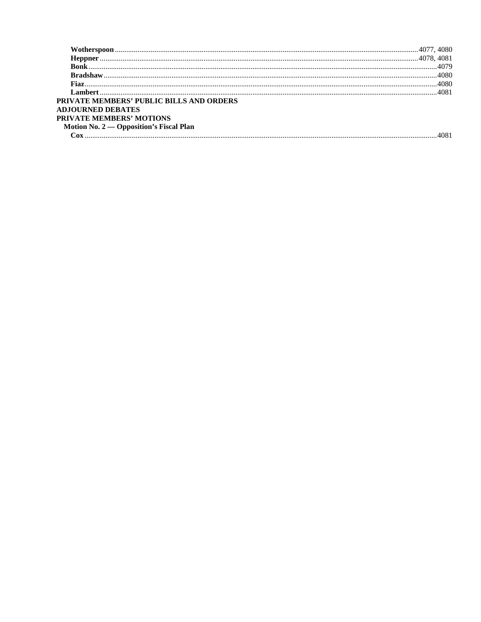|                                                 | .4080 |
|-------------------------------------------------|-------|
|                                                 |       |
| <b>PRIVATE MEMBERS' PUBLIC BILLS AND ORDERS</b> |       |
| <b>ADJOURNED DEBATES</b>                        |       |
| <b>PRIVATE MEMBERS' MOTIONS</b>                 |       |
| Motion No. $2$ — Opposition's Fiscal Plan       |       |
|                                                 |       |